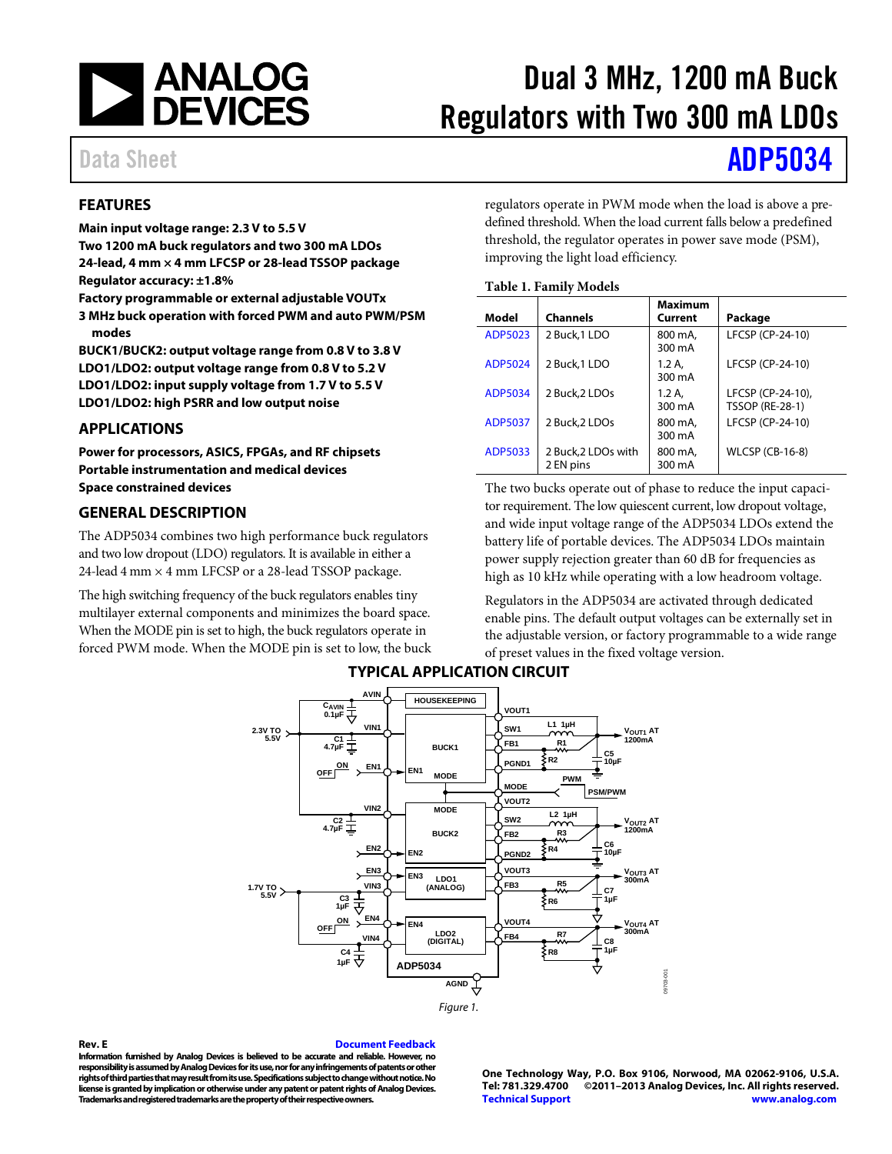

# Dual 3 MHz, 1200 mA Buck Regulators with Two 300 mA LDOs

# Data Sheet **[ADP5034](http://www.analog.com/ADP5034?src=ADP5034.pdf)**

## <span id="page-0-0"></span>**FEATURES**

**Main input voltage range: 2.3 V to 5.5 V**

**Two 1200 mA buck regulators and two 300 mA LDOs 24-lead, 4 mm × 4 mm LFCSP or 28-lead TSSOP package Regulator accuracy: ±1.8%**

**Factory programmable or external adjustable VOUTx**

**3 MHz buck operation with forced PWM and auto PWM/PSM modes**

**BUCK1/BUCK2: output voltage range from 0.8 V to 3.8 V LDO1/LDO2: output voltage range from 0.8 V to 5.2 V LDO1/LDO2: input supply voltage from 1.7 V to 5.5 V LDO1/LDO2: high PSRR and low output noise**

## <span id="page-0-1"></span>**APPLICATIONS**

**Power for processors, ASICS, FPGAs, and RF chipsets Portable instrumentation and medical devices Space constrained devices**

## <span id="page-0-2"></span>**GENERAL DESCRIPTION**

The ADP5034 combines two high performance buck regulators and two low dropout (LDO) regulators. It is available in either a 24-lead 4 mm  $\times$  4 mm LFCSP or a 28-lead TSSOP package.

<span id="page-0-3"></span>The high switching frequency of the buck regulators enables tiny multilayer external components and minimizes the board space. When the MODE pin is set to high, the buck regulators operate in forced PWM mode. When the MODE pin is set to low, the buck regulators operate in PWM mode when the load is above a predefined threshold. When the load current falls below a predefined threshold, the regulator operates in power save mode (PSM), improving the light load efficiency.

#### **Table 1. Family Models**

| Model          | <b>Channels</b>                  | <b>Maximum</b><br>Current | Package                                     |
|----------------|----------------------------------|---------------------------|---------------------------------------------|
| ADP5023        | 2 Buck, 1 LDO                    | 800 mA.<br>300 mA         | LFCSP (CP-24-10)                            |
| ADP5024        | 2 Buck, 1 LDO                    | 1.2A<br>300 mA            | LFCSP (CP-24-10)                            |
| ADP5034        | 2 Buck, 2 LDOs                   | 1.2A<br>300 mA            | LFCSP (CP-24-10),<br><b>TSSOP (RE-28-1)</b> |
| <b>ADP5037</b> | 2 Buck, 2 LDOs                   | 800 mA.<br>300 mA         | LFCSP (CP-24-10)                            |
| ADP5033        | 2 Buck, 2 LDOs with<br>2 EN pins | 800 mA.<br>300 mA         | <b>WLCSP (CB-16-8)</b>                      |

The two bucks operate out of phase to reduce the input capacitor requirement. The low quiescent current, low dropout voltage, and wide input voltage range of the ADP5034 LDOs extend the battery life of portable devices. The ADP5034 LDOs maintain power supply rejection greater than 60 dB for frequencies as high as 10 kHz while operating with a low headroom voltage.

Regulators in the ADP5034 are activated through dedicated enable pins. The default output voltages can be externally set in the adjustable version, or factory programmable to a wide range of preset values in the fixed voltage version.



# **TYPICAL APPLICATION CIRCUIT**

#### <span id="page-0-4"></span>**Rev. E [Document Feedback](https://form.analog.com/Form_Pages/feedback/documentfeedback.aspx?doc=ADP5034.pdf&product=ADP5034&rev=E)**

**Information furnished by Analog Devices is believed to be accurate and reliable. However, no responsibility is assumed by Analog Devices for its use, nor for any infringements of patents or other rights of third parties that may result from its use. Specifications subject to change without notice. No license is granted by implication or otherwise under any patent or patent rights of Analog Devices. Trademarks and registered trademarks are the property of their respective owners.**

**One Technology Way, P.O. Box 9106, Norwood, MA 02062-9106, U.S.A. Tel: 781.329.4700 ©2011–2013 Analog Devices, Inc. All rights reserved. [Technical Support](http://www.analog.com/en/content/technical_support_page/fca.html) [www.analog.com](http://www.analog.com/)**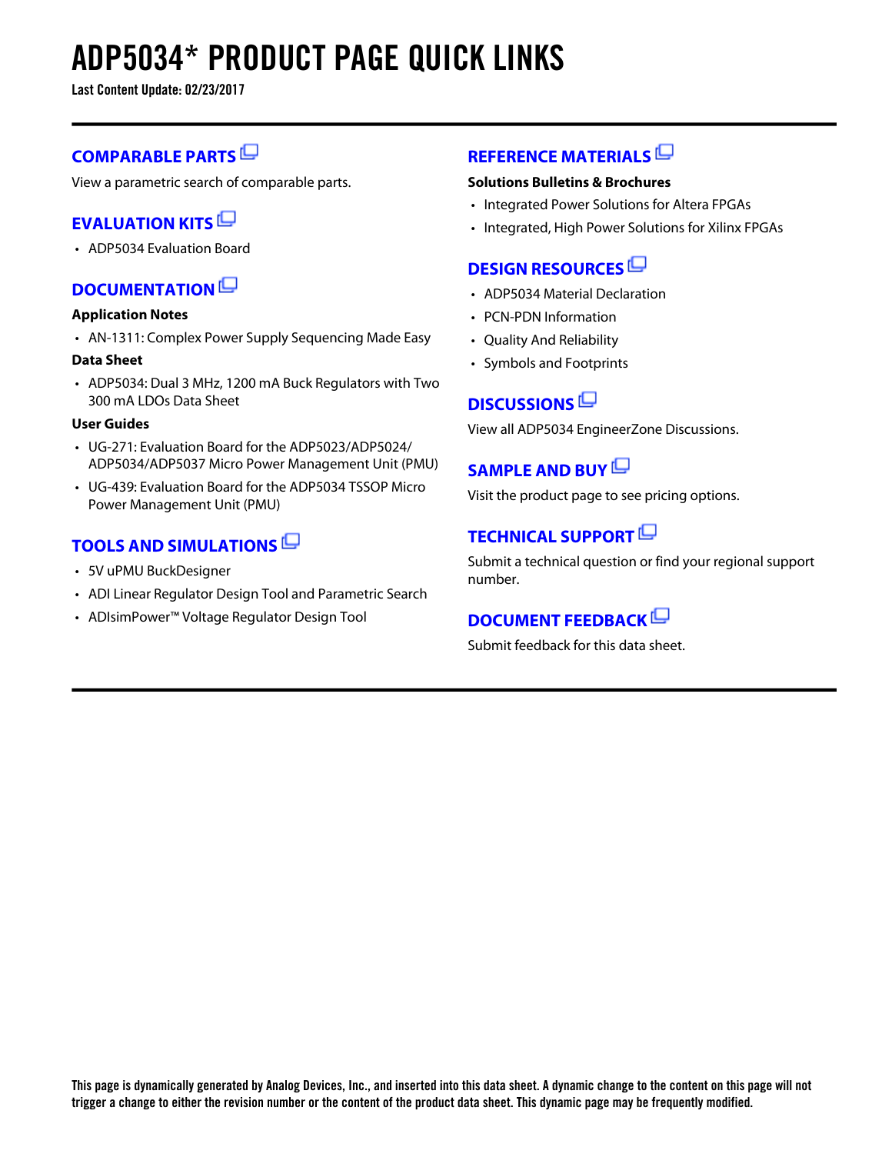# **ADP5034\* PRODUCT PAGE QUICK LINKS**

**Last Content Update: 02/23/2017**

# **[COMPARABLE PARTS](http://www.analog.com/parametricsearch/en/11002?doc=ADP5034.pdf&p0=1&lsrc=pst)**

View a parametric search of comparable parts.

# **[EVALUATION KITS](http://www.analog.com/adp5034/evalkits?doc=ADP5034.pdf&p0=1&lsrc=ek)**

• ADP5034 Evaluation Board

# **[DOCUMENTATION](http://www.analog.com/adp5034/documentation?doc=ADP5034.pdf&p0=1&lsrc=doc)**

### **Application Notes**

• AN-1311: Complex Power Supply Sequencing Made Easy

### **Data Sheet**

• ADP5034: Dual 3 MHz, 1200 mA Buck Regulators with Two 300 mA LDOs Data Sheet

### **User Guides**

- UG-271: Evaluation Board for the ADP5023/ADP5024/ ADP5034/ADP5037 Micro Power Management Unit (PMU)
- UG-439: Evaluation Board for the ADP5034 TSSOP Micro Power Management Unit (PMU)

# **[TOOLS AND SIMULATIONS](http://www.analog.com/adp5034/tools?doc=ADP5034.pdf&p0=1&lsrc=tools)**

- 5V uPMU BuckDesigner
- ADI Linear Regulator Design Tool and Parametric Search
- ADIsimPower™ Voltage Regulator Design Tool

# **[REFERENCE MATERIALS](http://www.analog.com/adp5034/referencematerials?doc=ADP5034.pdf&p0=1&lsrc=rm)**

## **Solutions Bulletins & Brochures**

- Integrated Power Solutions for Altera FPGAs
- Integrated, High Power Solutions for Xilinx FPGAs

# **[DESIGN RESOURCES](http://www.analog.com/adp5034/designsources?doc=ADP5034.pdf&p0=1&lsrc=dr)**

- ADP5034 Material Declaration
- PCN-PDN Information
- Quality And Reliability
- Symbols and Footprints

# **[DISCUSSIONS](http://www.analog.com/adp5034/discussions?doc=ADP5034.pdf&p0=1&lsrc=disc)**

View all ADP5034 EngineerZone Discussions.

# **[SAMPLE AND BUY](http://www.analog.com/adp5034/sampleandbuy?doc=ADP5034.pdf&p0=1&lsrc=sb)**

Visit the product page to see pricing options.

# **[TECHNICAL SUPPORT](http://www.analog.com/support/technical-support.html?doc=ADP5034.pdf&p0=1&lsrc=techs)**

Submit a technical question or find your regional support number.

# **[DOCUMENT FEEDBACK](https://form.analog.com/Form_Pages/feedback/documentfeedback.aspx?doc=ADP5034.pdf&product=ADP5034&p0=1&lsrc=dfs)**

Submit feedback for this data sheet.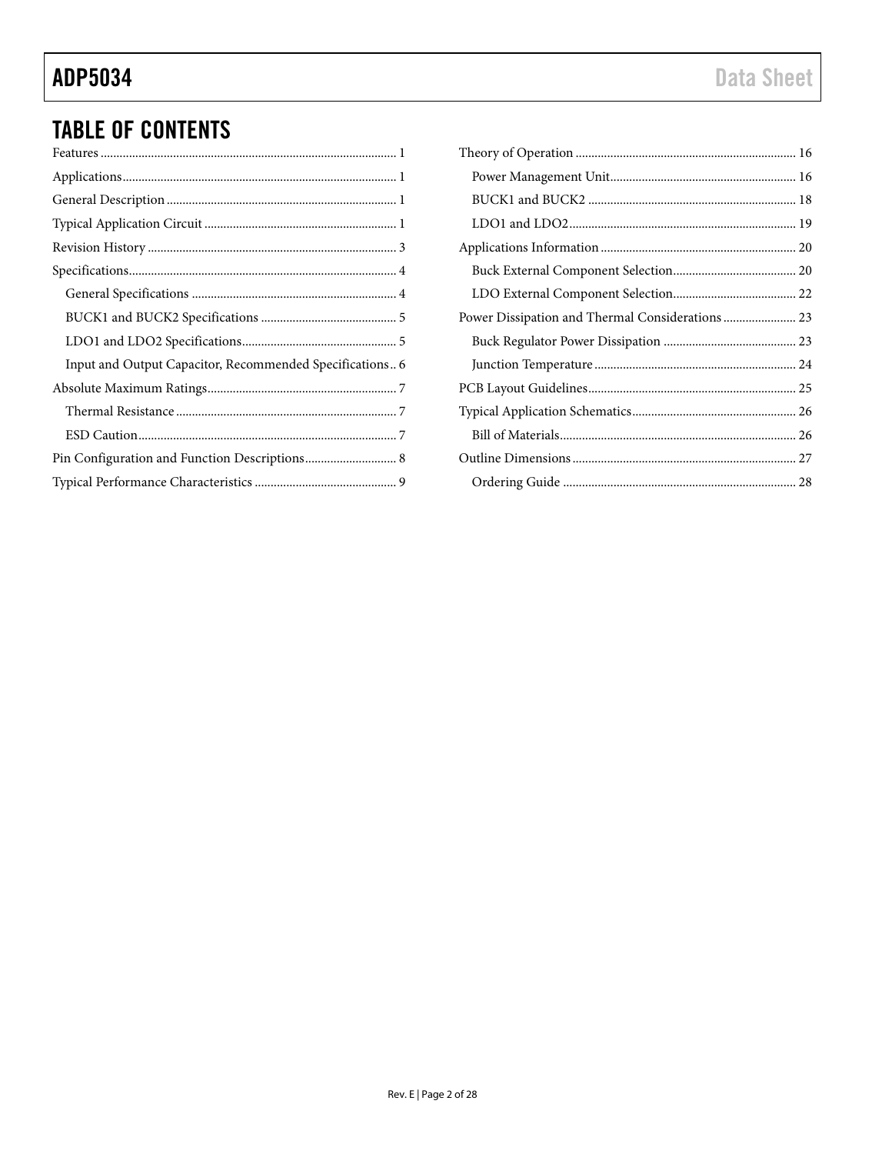# **ADP5034**

# **TABLE OF CONTENTS**

| Input and Output Capacitor, Recommended Specifications 6 |
|----------------------------------------------------------|
|                                                          |
|                                                          |
|                                                          |
|                                                          |
|                                                          |

| Power Dissipation and Thermal Considerations  23 |  |
|--------------------------------------------------|--|
|                                                  |  |
|                                                  |  |
|                                                  |  |
|                                                  |  |
|                                                  |  |
|                                                  |  |
|                                                  |  |
|                                                  |  |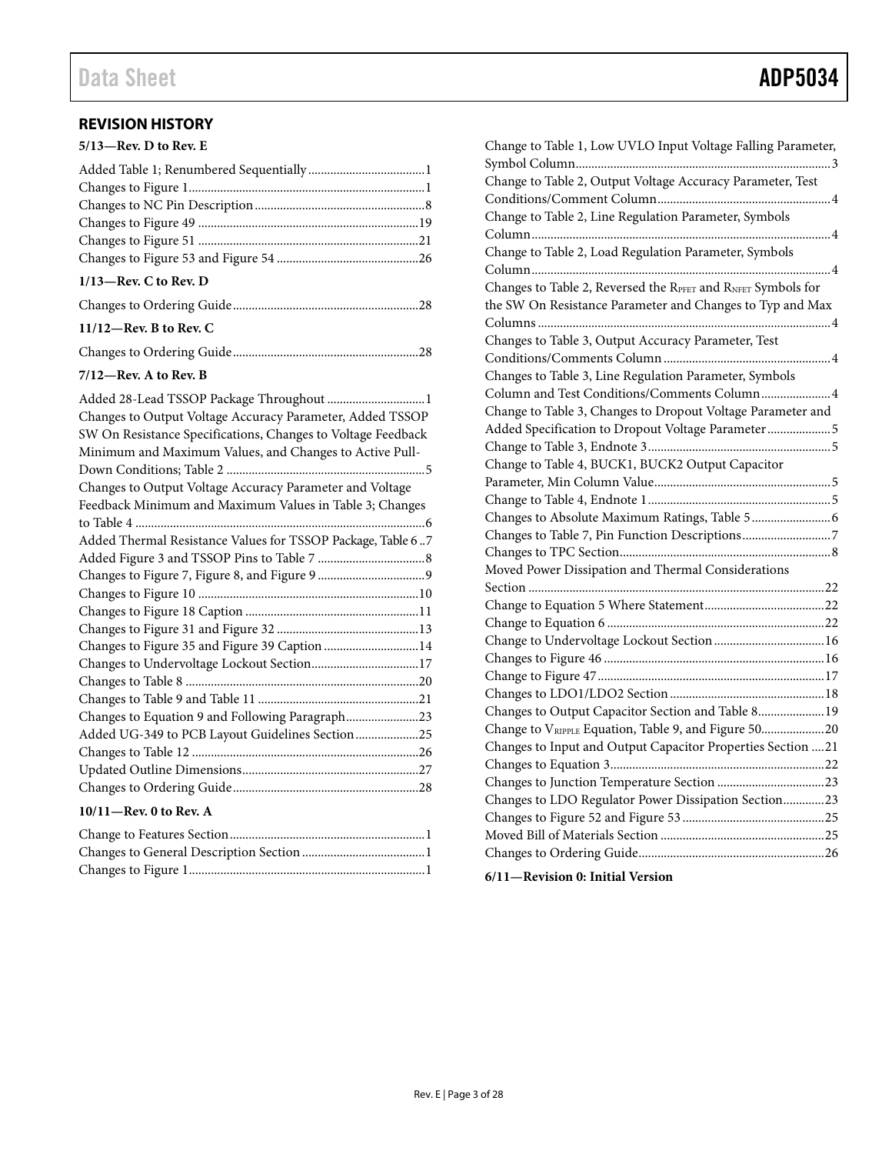# <span id="page-3-0"></span>**REVISION HISTORY**

| 5/13-Rev. D to Rev. E    |  |
|--------------------------|--|
|                          |  |
|                          |  |
|                          |  |
|                          |  |
|                          |  |
|                          |  |
| $1/13$ —Rev. C to Rev. D |  |
|                          |  |

## **11/12—Rev. B to Rev. C**

|--|--|

# **7/12—Rev. A to Rev. B**

| Added 28-Lead TSSOP Package Throughout  1                    |  |
|--------------------------------------------------------------|--|
| Changes to Output Voltage Accuracy Parameter, Added TSSOP    |  |
| SW On Resistance Specifications, Changes to Voltage Feedback |  |
| Minimum and Maximum Values, and Changes to Active Pull-      |  |
|                                                              |  |
| Changes to Output Voltage Accuracy Parameter and Voltage     |  |
| Feedback Minimum and Maximum Values in Table 3; Changes      |  |
|                                                              |  |
| Added Thermal Resistance Values for TSSOP Package, Table 67  |  |
|                                                              |  |
|                                                              |  |
|                                                              |  |
|                                                              |  |
|                                                              |  |
| Changes to Figure 35 and Figure 39 Caption  14               |  |
| Changes to Undervoltage Lockout Section17                    |  |
|                                                              |  |
|                                                              |  |
| Changes to Equation 9 and Following Paragraph23              |  |
| Added UG-349 to PCB Layout Guidelines Section25              |  |
|                                                              |  |
|                                                              |  |
|                                                              |  |
| $10/11$ – Rev. 0 to Rev. A                                   |  |

| Change to Table 1, Low UVLO Input Voltage Falling Parameter, |  |
|--------------------------------------------------------------|--|
|                                                              |  |
| Change to Table 2, Output Voltage Accuracy Parameter, Test   |  |
|                                                              |  |
| Change to Table 2, Line Regulation Parameter, Symbols        |  |
|                                                              |  |
| Change to Table 2, Load Regulation Parameter, Symbols        |  |
|                                                              |  |
| Changes to Table 2, Reversed the RPFET and RNFET Symbols for |  |
| the SW On Resistance Parameter and Changes to Typ and Max    |  |
|                                                              |  |
| Changes to Table 3, Output Accuracy Parameter, Test          |  |
|                                                              |  |
| Changes to Table 3, Line Regulation Parameter, Symbols       |  |
| Column and Test Conditions/Comments Column 4                 |  |
| Change to Table 3, Changes to Dropout Voltage Parameter and  |  |
| Added Specification to Dropout Voltage Parameter  5          |  |
|                                                              |  |
| Change to Table 4, BUCK1, BUCK2 Output Capacitor             |  |
|                                                              |  |
|                                                              |  |
|                                                              |  |
|                                                              |  |
|                                                              |  |
| Moved Power Dissipation and Thermal Considerations           |  |
|                                                              |  |
|                                                              |  |
|                                                              |  |
|                                                              |  |
|                                                              |  |
|                                                              |  |
|                                                              |  |
| Changes to Output Capacitor Section and Table 8 19           |  |
| Change to VRIPPLE Equation, Table 9, and Figure 5020         |  |
| Changes to Input and Output Capacitor Properties Section 21  |  |
|                                                              |  |
|                                                              |  |
| Changes to LDO Regulator Power Dissipation Section23         |  |
|                                                              |  |
|                                                              |  |
|                                                              |  |
|                                                              |  |

## **6/11—Revision 0: Initial Version**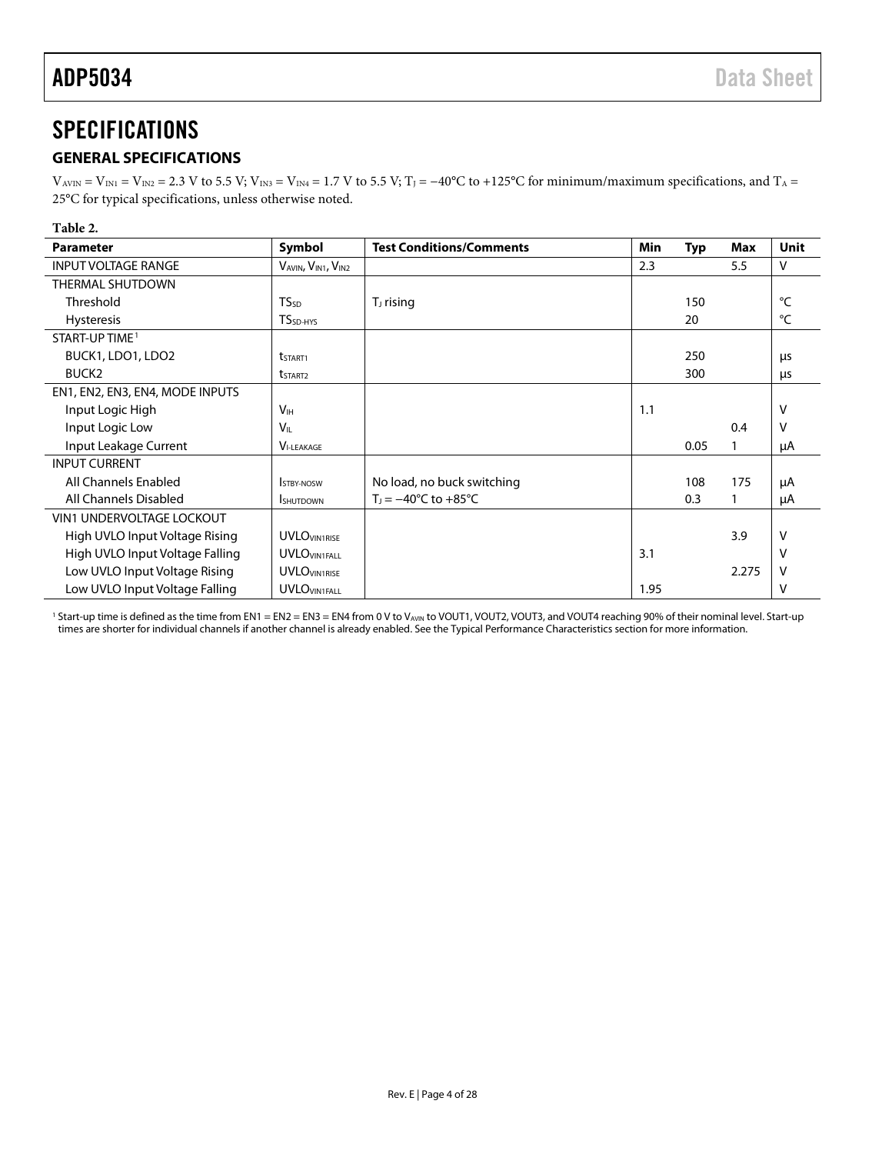# <span id="page-4-0"></span>SPECIFICATIONS

# <span id="page-4-1"></span>**GENERAL SPECIFICATIONS**

 $V_{AVIN} = V_{IN1} = V_{IN2} = 2.3$  V to 5.5 V;  $V_{IN3} = V_{IN4} = 1.7$  V to 5.5 V;  $T_J = -40^{\circ}C$  to +125°C for minimum/maximum specifications, and  $T_A =$ 25°C for typical specifications, unless otherwise noted.

#### **Table 2.**

| <b>Parameter</b>                 | Symbol                  | <b>Test Conditions/Comments</b>          | Min  | <b>Typ</b> | Max   | <b>Unit</b> |
|----------------------------------|-------------------------|------------------------------------------|------|------------|-------|-------------|
| <b>INPUT VOLTAGE RANGE</b>       | VAVIN, VIN1, VIN2       |                                          | 2.3  |            | 5.5   | v           |
| THERMAL SHUTDOWN                 |                         |                                          |      |            |       |             |
| Threshold                        | <b>TS</b> <sub>SD</sub> | $TJ$ rising                              |      | 150        |       | °C          |
| <b>Hysteresis</b>                | TS <sub>SD-HYS</sub>    |                                          |      | 20         |       | °C          |
| START-UP TIME <sup>1</sup>       |                         |                                          |      |            |       |             |
| BUCK1, LDO1, LDO2                | t <sub>start1</sub>     |                                          |      | 250        |       | μs          |
| BUCK <sub>2</sub>                | t <sub>start2</sub>     |                                          |      | 300        |       | μs          |
| EN1, EN2, EN3, EN4, MODE INPUTS  |                         |                                          |      |            |       |             |
| Input Logic High                 | V <sub>H</sub>          |                                          | 1.1  |            |       | v           |
| Input Logic Low                  | V <sub>IL</sub>         |                                          |      |            | 0.4   | v           |
| Input Leakage Current            | <b>VI-LEAKAGE</b>       |                                          |      | 0.05       | 1     | μA          |
| <b>INPUT CURRENT</b>             |                         |                                          |      |            |       |             |
| All Channels Enabled             | <b>STBY-NOSW</b>        | No load, no buck switching               |      | 108        | 175   | μA          |
| All Channels Disabled            | <b>I</b> SHUTDOWN       | $T_1 = -40^{\circ}$ C to $+85^{\circ}$ C |      | 0.3        | 1     | μA          |
| <b>VIN1 UNDERVOLTAGE LOCKOUT</b> |                         |                                          |      |            |       |             |
| High UVLO Input Voltage Rising   | <b>UVLOVIN1RISE</b>     |                                          |      |            | 3.9   | v           |
| High UVLO Input Voltage Falling  | <b>UVLOVIN1FALL</b>     |                                          | 3.1  |            |       |             |
| Low UVLO Input Voltage Rising    | <b>UVLOVIN1RISE</b>     |                                          |      |            | 2.275 |             |
| Low UVLO Input Voltage Falling   | <b>UVLOVIN1FALL</b>     |                                          | 1.95 |            |       | v           |

 $^1$  Start-up time is defined as the time from EN1 = EN2 = EN3 = EN4 from 0 V to VAVIN to VOUT1, VOUT2, VOUT3, and VOUT4 reaching 90% of their nominal level. Start-up times are shorter for individual channels if another channel is already enabled. See th[e Typical Performance Characteristics](#page-9-0) section for more information.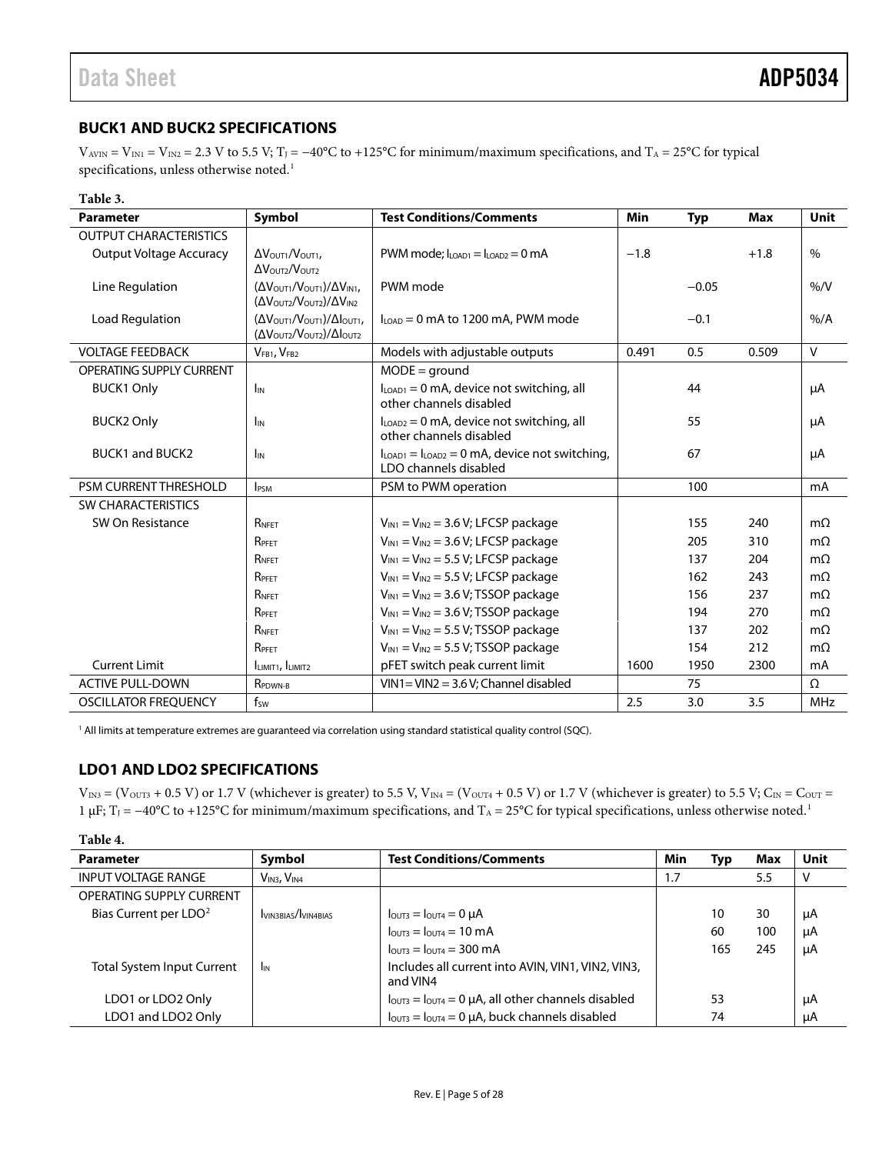# <span id="page-5-0"></span>**BUCK1 AND BUCK2 SPECIFICATIONS**

 $V_{AVIN} = V_{IN1} = V_{IN2} = 2.3$  V to 5.5 V; T<sub>J</sub> = -40°C to +125°C for minimum/maximum specifications, and T<sub>A</sub> = 25°C for typical specifications, unless otherwise noted.<sup>1</sup>

| Table 3.                       |                                                                                                                                      |                                                                           |        |            |        |              |
|--------------------------------|--------------------------------------------------------------------------------------------------------------------------------------|---------------------------------------------------------------------------|--------|------------|--------|--------------|
| <b>Parameter</b>               | Symbol                                                                                                                               | <b>Test Conditions/Comments</b>                                           | Min    | <b>Typ</b> | Max    | <b>Unit</b>  |
| <b>OUTPUT CHARACTERISTICS</b>  |                                                                                                                                      |                                                                           |        |            |        |              |
| <b>Output Voltage Accuracy</b> | $\Delta V_{\text{OUT1}}/V_{\text{OUT1}}$<br>$\Delta V_{\text{OUT2}}/V_{\text{OUT2}}$                                                 | $PWM$ mode: $I_{LOAD1} = I_{LOAD2} = 0$ mA                                | $-1.8$ |            | $+1.8$ | $\%$         |
| Line Regulation                | $(\Delta V_{\text{OUT1}}/V_{\text{OUT1}})/\Delta V_{\text{INI}}$<br>$(\Delta V_{\text{OUT2}}/V_{\text{OUT2}})/\Delta V_{\text{IN2}}$ | PWM mode                                                                  |        | $-0.05$    |        | % /V         |
| Load Regulation                | (ΔVOUT1/VOUT1)/ΔΙουτ1,<br>(Δ VOUT2/VOUT2)/ΔΙουτ2                                                                                     | ILOAD = 0 mA to 1200 mA, PWM mode                                         |        | $-0.1$     |        | $%$ /A       |
| <b>VOLTAGE FEEDBACK</b>        | VFB1, VFB2                                                                                                                           | Models with adjustable outputs                                            | 0.491  | 0.5        | 0.509  | $\mathsf{V}$ |
| OPERATING SUPPLY CURRENT       |                                                                                                                                      | $MODE = ground$                                                           |        |            |        |              |
| <b>BUCK1 Only</b>              | $I_{IN}$                                                                                                                             | $ILOAD1 = 0$ mA, device not switching, all<br>other channels disabled     |        | 44         |        | μA           |
| <b>BUCK2 Only</b>              | I <sub>IN</sub>                                                                                                                      | $ILOAD2 = 0$ mA, device not switching, all<br>other channels disabled     |        | 55         |        | μA           |
| <b>BUCK1 and BUCK2</b>         | I <sub>IN</sub>                                                                                                                      | $ILOAD1 = ILOAD2 = 0 mA$ , device not switching,<br>LDO channels disabled |        | 67         |        | μA           |
| <b>PSM CURRENT THRESHOLD</b>   | <b>IPSM</b>                                                                                                                          | PSM to PWM operation                                                      |        | 100        |        | mA           |
| <b>SW CHARACTERISTICS</b>      |                                                                                                                                      |                                                                           |        |            |        |              |
| SW On Resistance               | RNFET                                                                                                                                | $V_{IN1} = V_{IN2} = 3.6 V$ ; LFCSP package                               |        | 155        | 240    | $m\Omega$    |
|                                | RPFET                                                                                                                                | $V_{IN1} = V_{IN2} = 3.6 V$ ; LFCSP package                               |        | 205        | 310    | $m\Omega$    |
|                                | RNFET                                                                                                                                | $V_{IN1} = V_{IN2} = 5.5 V$ ; LFCSP package                               |        | 137        | 204    | $m\Omega$    |
|                                | RPFFT                                                                                                                                | $V_{IN1} = V_{IN2} = 5.5 V$ ; LFCSP package                               |        | 162        | 243    | $m\Omega$    |
|                                | RNFET                                                                                                                                | $V_{IN1} = V_{IN2} = 3.6 V$ ; TSSOP package                               |        | 156        | 237    | $m\Omega$    |
|                                | RPFFT                                                                                                                                | $V_{IN1} = V_{IN2} = 3.6 V$ ; TSSOP package                               |        | 194        | 270    | $m\Omega$    |
|                                | RNFET                                                                                                                                | $V_{IN1} = V_{IN2} = 5.5 V$ ; TSSOP package                               |        | 137        | 202    | $m\Omega$    |
|                                | RPFFT                                                                                                                                | $V_{IN1} = V_{IN2} = 5.5 V$ ; TSSOP package                               |        | 154        | 212    | $m\Omega$    |
| <b>Current Limit</b>           | ILIMIT1, ILIMIT2                                                                                                                     | pFET switch peak current limit                                            | 1600   | 1950       | 2300   | mA           |
| <b>ACTIVE PULL-DOWN</b>        | RPDWN-B                                                                                                                              | $VIN1 = VIN2 = 3.6 V$ ; Channel disabled                                  |        | 75         |        | Ω            |
| <b>OSCILLATOR FREQUENCY</b>    | $f_{SW}$                                                                                                                             |                                                                           | 2.5    | 3.0        | 3.5    | <b>MHz</b>   |

<sup>1</sup> All limits at temperature extremes are guaranteed via correlation using standard statistical quality control (SQC).

# <span id="page-5-1"></span>**LDO1 AND LDO2 SPECIFICATIONS**

 $V_{IN3}$  = (V<sub>OUT3</sub> + 0.5 V) or 1.7 V (whichever is greater) to 5.5 V, V<sub>IN4</sub> = (V<sub>OUT4</sub> + 0.5 V) or 1.7 V (whichever is greater) to 5.5 V; C<sub>IN</sub> = C<sub>OUT</sub> = 1 µF;  $T_J = -40^{\circ}C$  to +125°C for minimum/maximum specifications, and  $T_A = 25^{\circ}C$  for typical specifications, unless otherwise noted.<sup>1</sup>

| Table 4.                          |                                     |                                                                         |     |     |     |             |
|-----------------------------------|-------------------------------------|-------------------------------------------------------------------------|-----|-----|-----|-------------|
| <b>Parameter</b>                  | Symbol                              | <b>Test Conditions/Comments</b>                                         | Min | Typ | Max | <b>Unit</b> |
| <b>INPUT VOLTAGE RANGE</b>        | V <sub>IN3</sub> , V <sub>IN4</sub> |                                                                         | 1.7 |     | 5.5 |             |
| <b>OPERATING SUPPLY CURRENT</b>   |                                     |                                                                         |     |     |     |             |
| Bias Current per LDO <sup>2</sup> | VIN3BIAS/VIN4BIAS                   | $I_{\text{OUT3}} = I_{\text{OUT4}} = 0 \mu A$                           |     | 10  | 30  | μA          |
|                                   |                                     | $I_{\text{OUT3}} = I_{\text{OUT4}} = 10 \text{ mA}$                     |     | 60  | 100 | μA          |
|                                   |                                     | $l_{\text{OUT3}} = l_{\text{OUT4}} = 300 \text{ mA}$                    |     | 165 | 245 | μA          |
| <b>Total System Input Current</b> | <b>I</b> IN                         | Includes all current into AVIN, VIN1, VIN2, VIN3,<br>and VIN4           |     |     |     |             |
| LDO1 or LDO2 Only                 |                                     | $I_{\text{OUT3}} = I_{\text{OUT4}} = 0$ µA, all other channels disabled |     | 53  |     | μA          |
| LDO1 and LDO2 Only                |                                     | $I_{\text{OUT3}} = I_{\text{OUT4}} = 0 \mu A$ , buck channels disabled  |     | 74  |     | μA          |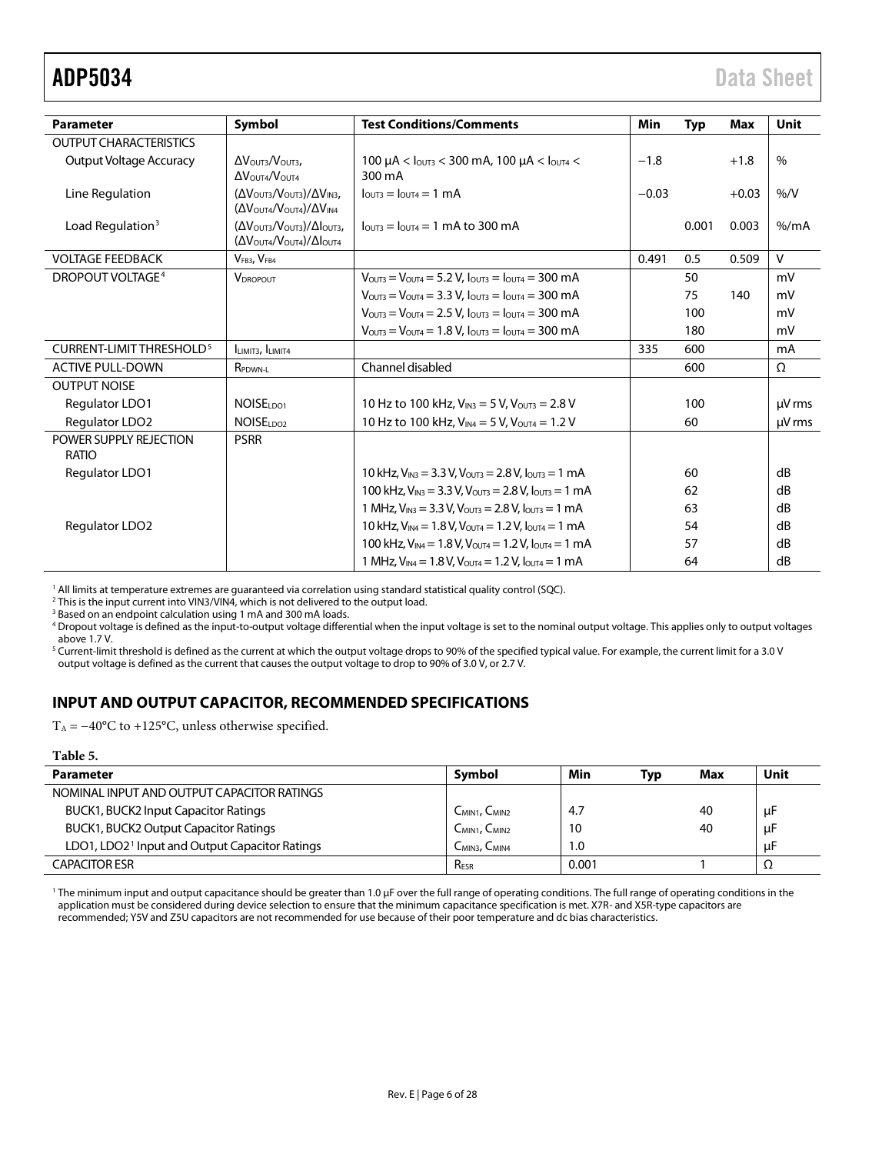<span id="page-6-1"></span>

| <b>Parameter</b>                     |                                                                                                                                      | <b>Test Conditions/Comments</b>                                                                            | Min     |            | <b>Max</b> | Unit     |
|--------------------------------------|--------------------------------------------------------------------------------------------------------------------------------------|------------------------------------------------------------------------------------------------------------|---------|------------|------------|----------|
|                                      | Symbol                                                                                                                               |                                                                                                            |         | <b>Typ</b> |            |          |
| <b>OUTPUT CHARACTERISTICS</b>        |                                                                                                                                      |                                                                                                            |         |            |            |          |
| <b>Output Voltage Accuracy</b>       | $\Delta V_{\text{OUT3}}/V_{\text{OUT3}}$                                                                                             | 100 $\mu$ A < $I_{\text{OUT3}}$ < 300 mA, 100 $\mu$ A < $I_{\text{OUT4}}$ <                                | $-1.8$  |            | $+1.8$     | $\%$     |
|                                      | $\Delta V_{\text{OUT4}}/V_{\text{OUT4}}$                                                                                             | 300 mA                                                                                                     |         |            |            |          |
| Line Regulation                      | $(\Delta V_{\text{OUT3}}/V_{\text{OUT3}})/\Delta V_{\text{IN3}}$<br>$(\Delta V_{\text{OUT4}}/V_{\text{OUT4}})/\Delta V_{\text{IN4}}$ | $l$ outa = $l$ outa = 1 mA                                                                                 | $-0.03$ |            | $+0.03$    | %/V      |
| Load Regulation <sup>3</sup>         | $(\Delta V_{\text{OUT3}}/V_{\text{OUT3}})/\Delta I_{\text{OUT3}}$<br>(ΔV <sub>OUT4</sub> /V <sub>OUT4</sub> )/ΔΙ <sub>OUT4</sub>     | $I_{\text{OUT3}} = I_{\text{OUT4}} = 1 \text{ mA}$ to 300 mA                                               |         | 0.001      | 0.003      | % /mA    |
| <b>VOLTAGE FEEDBACK</b>              | V <sub>FB3</sub> , V <sub>FB4</sub>                                                                                                  |                                                                                                            | 0.491   | 0.5        | 0.509      | V        |
| DROPOUT VOLTAGE <sup>4</sup>         | <b>VDROPOUT</b>                                                                                                                      | $V_{\text{OUT3}} = V_{\text{OUT4}} = 5.2 V$ , $I_{\text{OUT3}} = I_{\text{OUT4}} = 300 \text{ mA}$         |         | 50         |            | mV       |
|                                      |                                                                                                                                      | $V_{\text{OUT3}} = V_{\text{OUT4}} = 3.3 \text{ V}$ , $I_{\text{OUT3}} = I_{\text{OUT4}} = 300 \text{ mA}$ |         | 75         | 140        | mV       |
|                                      |                                                                                                                                      | $V_{\text{OUT3}} = V_{\text{OUT4}} = 2.5 V$ , $I_{\text{OUT3}} = I_{\text{OUT4}} = 300 \text{ mA}$         |         | 100        |            | mV       |
|                                      |                                                                                                                                      | $V_{\text{OUT3}} = V_{\text{OUT4}} = 1.8 V$ , $I_{\text{OUT3}} = I_{\text{OUT4}} = 300 \text{ mA}$         |         | 180        |            | mV       |
| CURRENT-LIMIT THRESHOLD <sup>5</sup> | ILIMIT3, ILIMIT4                                                                                                                     |                                                                                                            | 335     | 600        |            | mA       |
| <b>ACTIVE PULL-DOWN</b>              | R <sub>PDWN-L</sub>                                                                                                                  | Channel disabled                                                                                           |         | 600        |            | $\Omega$ |
| <b>OUTPUT NOISE</b>                  |                                                                                                                                      |                                                                                                            |         |            |            |          |
| Regulator LDO1                       | NOISE <sub>1001</sub>                                                                                                                | 10 Hz to 100 kHz, $V_{IN3} = 5 V$ , $V_{OUT3} = 2.8 V$                                                     |         | 100        |            | µV rms   |
| <b>Requlator LDO2</b>                | NOISE <sub>IDO2</sub>                                                                                                                | 10 Hz to 100 kHz, $V_{IN4} = 5 V$ , $V_{OUT4} = 1.2 V$                                                     |         | 60         |            | µV rms   |
| POWER SUPPLY REJECTION               | <b>PSRR</b>                                                                                                                          |                                                                                                            |         |            |            |          |
| RATIO                                |                                                                                                                                      |                                                                                                            |         |            |            |          |
| Regulator LDO1                       |                                                                                                                                      | 10 kHz, $V_{IN3}$ = 3.3 V, $V_{OUT3}$ = 2.8 V, $I_{OUT3}$ = 1 mA                                           |         | 60         |            | dB       |
|                                      |                                                                                                                                      | 100 kHz, $V_{IN3} = 3.3 V$ , $V_{OUT3} = 2.8 V$ , $I_{OUT3} = 1 mA$                                        |         | 62         |            | dB       |
|                                      |                                                                                                                                      | 1 MHz, $V_{IN3}$ = 3.3 V, $V_{OUT3}$ = 2.8 V, $I_{OUT3}$ = 1 mA                                            |         | 63         |            | dB       |
| Regulator LDO2                       |                                                                                                                                      | 10 kHz, $V_{IN4}$ = 1.8 V, $V_{OUT4}$ = 1.2 V, $I_{OUT4}$ = 1 mA                                           |         | 54         |            | dB       |
|                                      |                                                                                                                                      | 100 kHz, $V_{IN4} = 1.8 V$ , $V_{OUT4} = 1.2 V$ , $I_{OUT4} = 1 mA$                                        |         | 57         |            | dB       |
|                                      |                                                                                                                                      | 1 MHz, $V_{IN4}$ = 1.8 V, $V_{OUT4}$ = 1.2 V, $I_{OUT4}$ = 1 mA                                            |         | 64         |            | dB       |

<sup>1</sup> All limits at temperature extremes are guaranteed via correlation using standard statistical quality control (SQC).

<sup>2</sup> This is the input current into VIN3/VIN4, which is not delivered to the output load.

<sup>3</sup> Based on an endpoint calculation using 1 mA and 300 mA loads.

<sup>4</sup> Dropout voltage is defined as the input-to-output voltage differential when the input voltage is set to the nominal output voltage. This applies only to output voltages above 1.7 V.

 $^5$  Current-limit threshold is defined as the current at which the output voltage drops to 90% of the specified typical value. For example, the current limit for a 3.0 V output voltage is defined as the current that causes the output voltage to drop to 90% of 3.0 V, or 2.7 V.

# <span id="page-6-0"></span>**INPUT AND OUTPUT CAPACITOR, RECOMMENDED SPECIFICATIONS**

T<sub>A</sub> =  $-40^{\circ}$ C to +125°C, unless otherwise specified.

#### **Table 5.**

| <b>Parameter</b>                                           | Symbol                                | Min   | Typ | Max | Unit |
|------------------------------------------------------------|---------------------------------------|-------|-----|-----|------|
| NOMINAL INPUT AND OUTPUT CAPACITOR RATINGS                 |                                       |       |     |     |      |
| BUCK1, BUCK2 Input Capacitor Ratings                       | C <sub>MIN1</sub> , C <sub>MIN2</sub> | 4.7   |     | 40  | μF   |
| <b>BUCK1, BUCK2 Output Capacitor Ratings</b>               | $C_{MIN1}$ , $C_{MIN2}$               | 10    |     | 40  | μF   |
| LDO1, LDO2 <sup>1</sup> Input and Output Capacitor Ratings | C <sub>MIN3</sub> , C <sub>MIN4</sub> | 1.0   |     |     | μF   |
| <b>CAPACITOR ESR</b>                                       | R <sub>ESR</sub>                      | 0.001 |     |     | 77   |

<sup>1</sup> The minimum input and output capacitance should be greater than 1.0 µF over the full range of operating conditions. The full range of operating conditions in the application must be considered during device selection to ensure that the minimum capacitance specification is met. X7R- and X5R-type capacitors are recommended; Y5V and Z5U capacitors are not recommended for use because of their poor temperature and dc bias characteristics.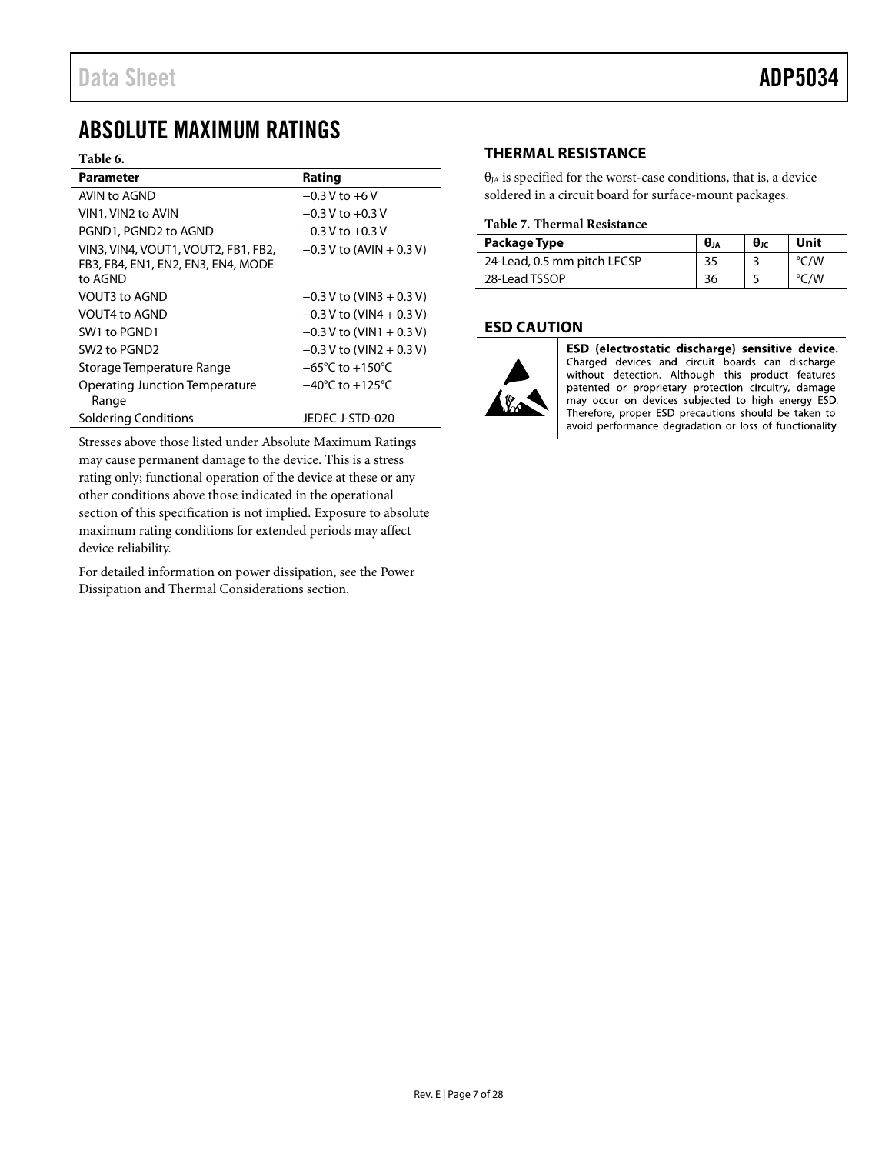# <span id="page-7-0"></span>ABSOLUTE MAXIMUM RATINGS

#### **Table 6.**

| Parameter                                                                            | Rating                              |
|--------------------------------------------------------------------------------------|-------------------------------------|
| AVIN to AGND                                                                         | $-0.3$ V to $+6$ V                  |
| VIN1, VIN2 to AVIN                                                                   | $-0.3$ V to $+0.3$ V                |
| PGND1, PGND2 to AGND                                                                 | $-0.3$ V to $+0.3$ V                |
| VIN3, VIN4, VOUT1, VOUT2, FB1, FB2,<br>FB3, FB4, EN1, EN2, EN3, EN4, MODE<br>to AGND | $-0.3$ V to (AVIN + 0.3 V)          |
| VOUT3 to AGND                                                                        | $-0.3$ V to (VIN3 + 0.3 V)          |
| VOUT4 to AGND                                                                        | $-0.3$ V to (VIN4 + 0.3 V)          |
| SW1 to PGND1                                                                         | $-0.3$ V to (VIN1 + 0.3 V)          |
| SW <sub>2</sub> to PGND <sub>2</sub>                                                 | $-0.3$ V to (VIN2 + 0.3 V)          |
| Storage Temperature Range                                                            | $-65^{\circ}$ C to $+150^{\circ}$ C |
| <b>Operating Junction Temperature</b><br>Range                                       | $-40^{\circ}$ C to $+125^{\circ}$ C |
| Soldering Conditions                                                                 | JEDEC J-STD-020                     |

Stresses above those listed under Absolute Maximum Ratings may cause permanent damage to the device. This is a stress rating only; functional operation of the device at these or any other conditions above those indicated in the operational section of this specification is not implied. Exposure to absolute maximum rating conditions for extended periods may affect device reliability.

For detailed information on power dissipation, see th[e Power](#page-23-0)  [Dissipation and Thermal Considerations](#page-23-0) section.

# <span id="page-7-1"></span>**THERMAL RESISTANCE**

 $\theta_{IA}$  is specified for the worst-case conditions, that is, a device soldered in a circuit board for surface-mount packages.

#### <span id="page-7-3"></span>**Table 7. Thermal Resistance**

| Package Type                | $\theta_{JA}$ | $\theta$ Jc | Unit          |
|-----------------------------|---------------|-------------|---------------|
| 24-Lead, 0.5 mm pitch LFCSP | 35            |             | $\degree$ C/W |
| 28-Lead TSSOP               | 36            |             | °C/W          |

## <span id="page-7-2"></span>**ESD CAUTION**



ESD (electrostatic discharge) sensitive device. Charged devices and circuit boards can discharge without detection. Although this product features patented or proprietary protection circuitry, damage may occur on devices subjected to high energy ESD. Therefore, proper ESD precautions should be taken to avoid performance degradation or loss of functionality.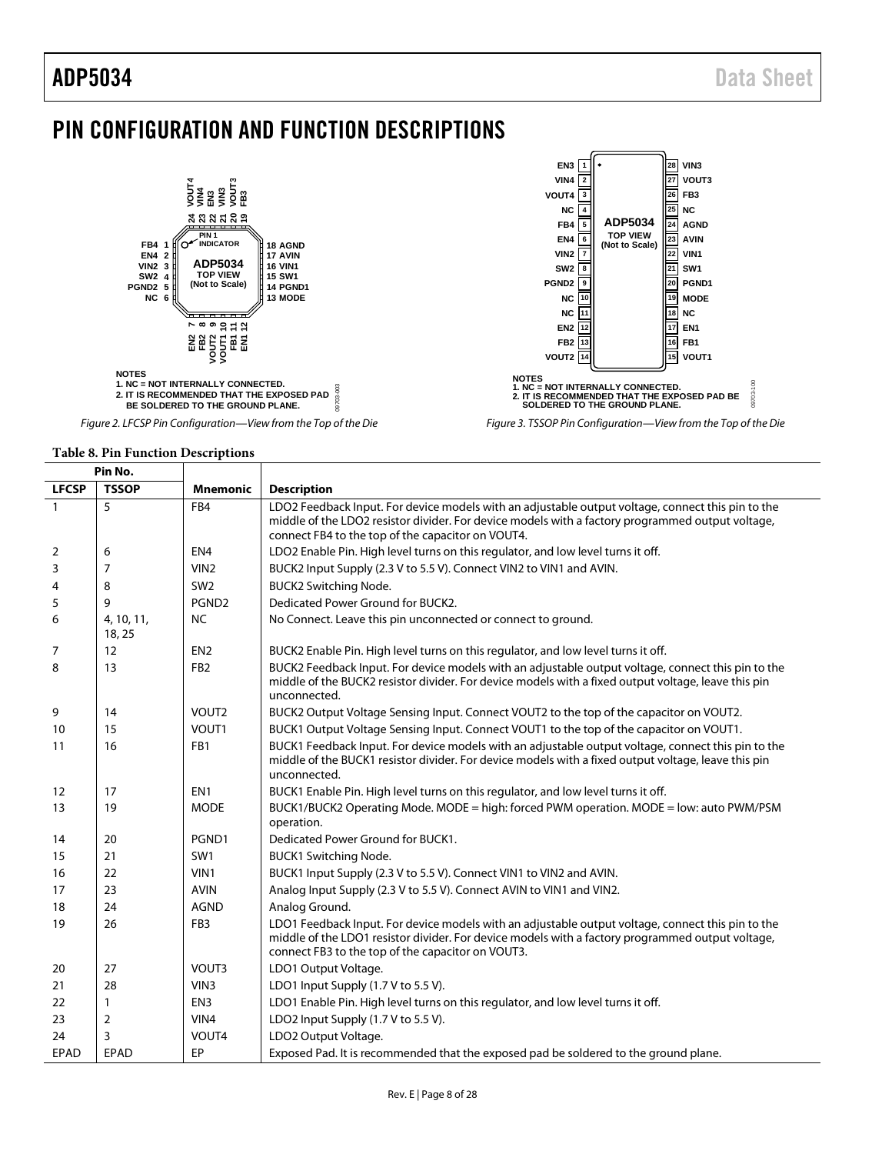# <span id="page-8-0"></span>PIN CONFIGURATION AND FUNCTION DESCRIPTIONS



*Figure 2. LFCSP Pin Configuration—View from the Top of the Die*

#### **Table 8. Pin Function Descriptions**

Т

**Pin No.**

| FIII IVV.    |                      |                   |                                                                                                                                                                                                                                                            |
|--------------|----------------------|-------------------|------------------------------------------------------------------------------------------------------------------------------------------------------------------------------------------------------------------------------------------------------------|
| <b>LFCSP</b> | <b>TSSOP</b>         | <b>Mnemonic</b>   | <b>Description</b>                                                                                                                                                                                                                                         |
| $\mathbf{1}$ | 5                    | FB4               | LDO2 Feedback Input. For device models with an adjustable output voltage, connect this pin to the<br>middle of the LDO2 resistor divider. For device models with a factory programmed output voltage,<br>connect FB4 to the top of the capacitor on VOUT4. |
| 2            | 6                    | EN <sub>4</sub>   | LDO2 Enable Pin. High level turns on this regulator, and low level turns it off.                                                                                                                                                                           |
| 3            | 7                    | VIN <sub>2</sub>  | BUCK2 Input Supply (2.3 V to 5.5 V). Connect VIN2 to VIN1 and AVIN.                                                                                                                                                                                        |
| 4            | 8                    | SW <sub>2</sub>   | <b>BUCK2 Switching Node.</b>                                                                                                                                                                                                                               |
| 5            | 9                    | PGND <sub>2</sub> | Dedicated Power Ground for BUCK2.                                                                                                                                                                                                                          |
| 6            | 4, 10, 11,<br>18, 25 | <b>NC</b>         | No Connect. Leave this pin unconnected or connect to ground.                                                                                                                                                                                               |
| 7            | 12                   | EN <sub>2</sub>   | BUCK2 Enable Pin. High level turns on this regulator, and low level turns it off.                                                                                                                                                                          |
| 8            | 13                   | FB <sub>2</sub>   | BUCK2 Feedback Input. For device models with an adjustable output voltage, connect this pin to the<br>middle of the BUCK2 resistor divider. For device models with a fixed output voltage, leave this pin<br>unconnected.                                  |
| 9            | 14                   | VOUT <sub>2</sub> | BUCK2 Output Voltage Sensing Input. Connect VOUT2 to the top of the capacitor on VOUT2.                                                                                                                                                                    |
| 10           | 15                   | VOUT1             | BUCK1 Output Voltage Sensing Input. Connect VOUT1 to the top of the capacitor on VOUT1.                                                                                                                                                                    |
| 11           | 16                   | FB1               | BUCK1 Feedback Input. For device models with an adjustable output voltage, connect this pin to the<br>middle of the BUCK1 resistor divider. For device models with a fixed output voltage, leave this pin<br>unconnected.                                  |
| 12           | 17                   | EN <sub>1</sub>   | BUCK1 Enable Pin. High level turns on this regulator, and low level turns it off.                                                                                                                                                                          |
| 13           | 19                   | <b>MODE</b>       | BUCK1/BUCK2 Operating Mode. MODE = high: forced PWM operation. MODE = low: auto PWM/PSM<br>operation.                                                                                                                                                      |
| 14           | 20                   | PGND1             | Dedicated Power Ground for BUCK1.                                                                                                                                                                                                                          |
| 15           | 21                   | SW <sub>1</sub>   | <b>BUCK1 Switching Node.</b>                                                                                                                                                                                                                               |
| 16           | 22                   | VIN1              | BUCK1 Input Supply (2.3 V to 5.5 V). Connect VIN1 to VIN2 and AVIN.                                                                                                                                                                                        |
| 17           | 23                   | <b>AVIN</b>       | Analog Input Supply (2.3 V to 5.5 V). Connect AVIN to VIN1 and VIN2.                                                                                                                                                                                       |
| 18           | 24                   | <b>AGND</b>       | Analog Ground.                                                                                                                                                                                                                                             |
| 19           | 26                   | FB <sub>3</sub>   | LDO1 Feedback Input. For device models with an adjustable output voltage, connect this pin to the<br>middle of the LDO1 resistor divider. For device models with a factory programmed output voltage,<br>connect FB3 to the top of the capacitor on VOUT3. |
| 20           | 27                   | VOUT3             | LDO1 Output Voltage.                                                                                                                                                                                                                                       |
| 21           | 28                   | VIN3              | LDO1 Input Supply (1.7 V to 5.5 V).                                                                                                                                                                                                                        |
| 22           | $\mathbf{1}$         | EN <sub>3</sub>   | LDO1 Enable Pin. High level turns on this regulator, and low level turns it off.                                                                                                                                                                           |
| 23           | 2                    | VIN4              | LDO2 Input Supply (1.7 V to 5.5 V).                                                                                                                                                                                                                        |
| 24           | 3                    | VOUT4             | LDO2 Output Voltage.                                                                                                                                                                                                                                       |
| EPAD         | <b>EPAD</b>          | EP                | Exposed Pad. It is recommended that the exposed pad be soldered to the ground plane.                                                                                                                                                                       |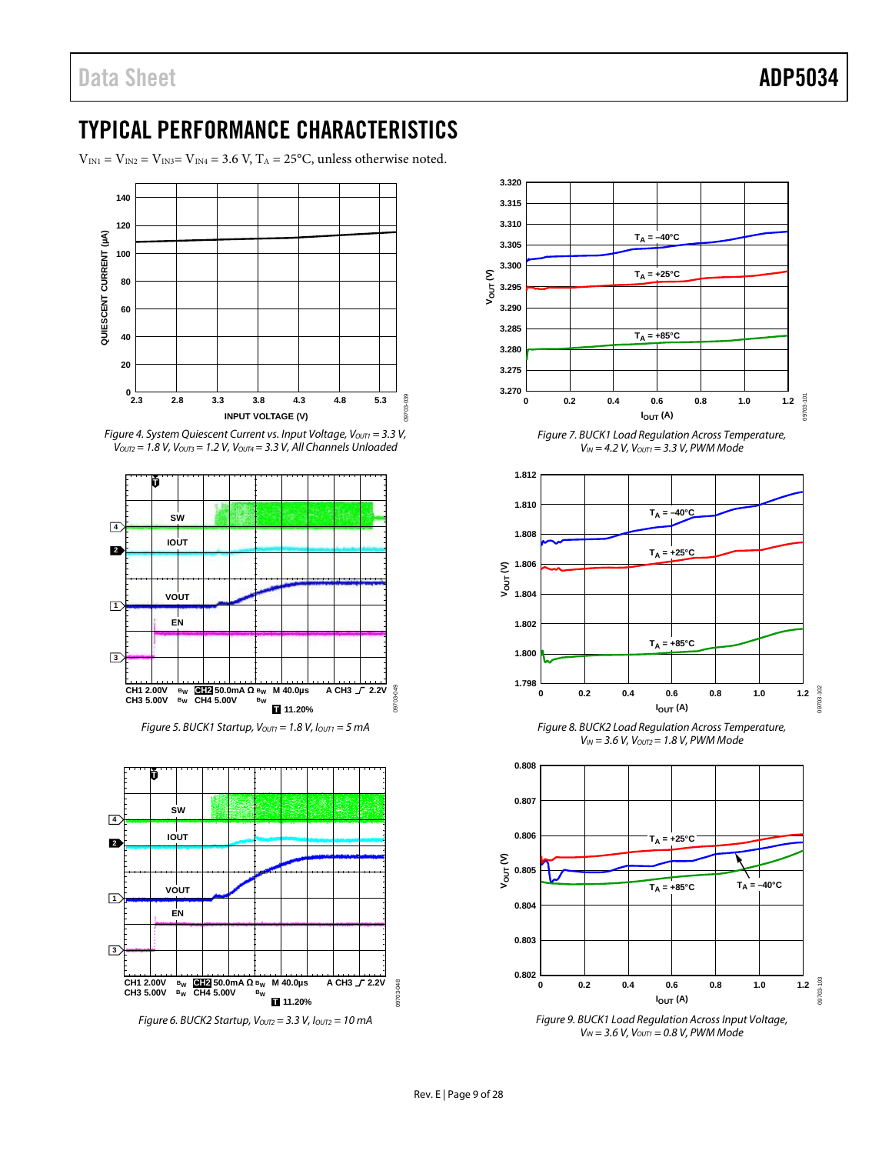# <span id="page-9-0"></span>TYPICAL PERFORMANCE CHARACTERISTICS

 $V_{\text{IN1}} = V_{\text{IN2}} = V_{\text{IN3}} = V_{\text{IN4}} = 3.6 \text{ V}$ , T<sub>A</sub> = 25°C, unless otherwise noted.







*Figure 5. BUCK1 Startup,*  $V_{OUT1} = 1.8$  *V,*  $I_{OUT1} = 5$  *mA* 



*Figure 6. BUCK2 Startup, VOUT2 = 3.3 V, IOUT2 = 10 mA*





*Figure 9. BUCK1 Load Regulation Across Input Voltage, VIN = 3.6 V, VOUT1 = 0.8 V, PWM Mode*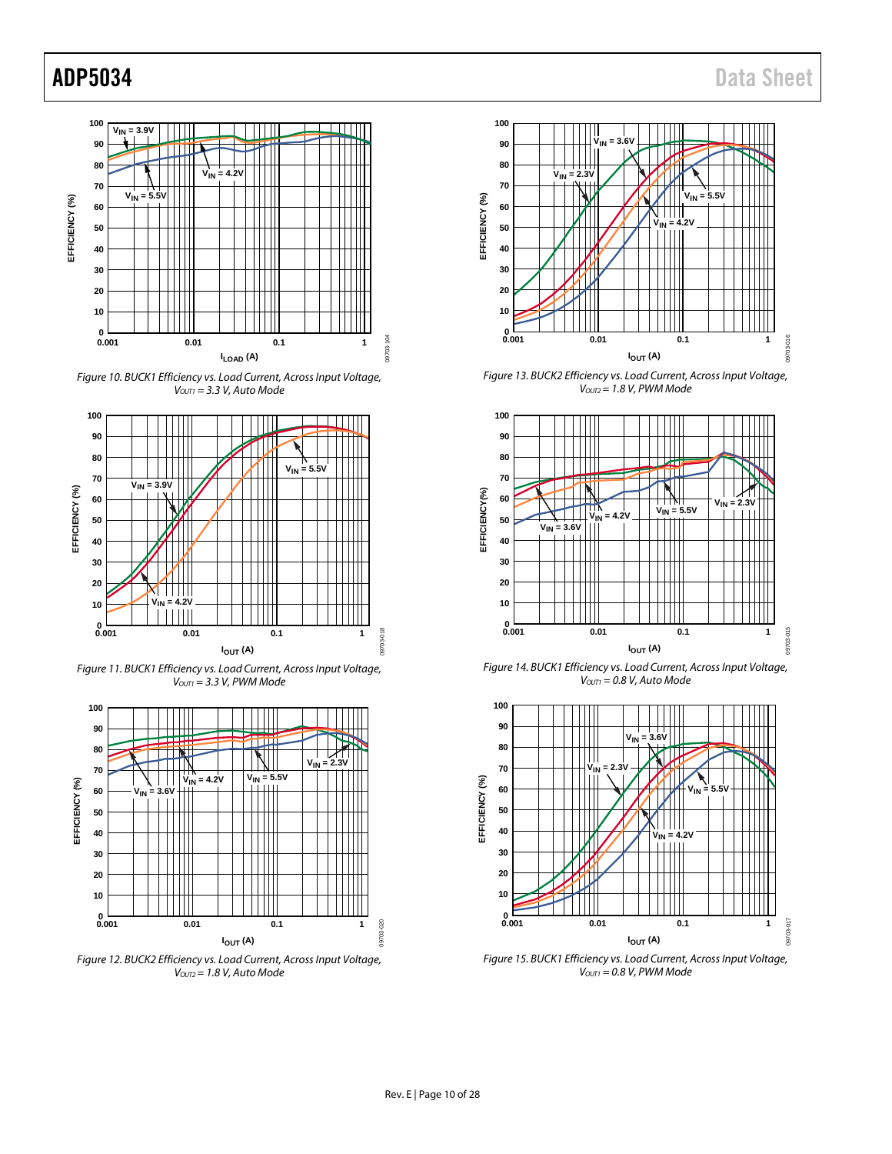





*Figure 11. BUCK1 Efficiency vs. Load Current, Across Input Voltage, VOUT1 = 3.3 V, PWM Mode*



*Figure 12. BUCK2 Efficiency vs. Load Current, Across Input Voltage, VOUT2= 1.8 V, Auto Mode*



*Figure 13. BUCK2 Efficiency vs. Load Current, Across Input Voltage, VOUT2= 1.8 V, PWM Mode*



*Figure 14. BUCK1 Efficiency vs. Load Current, Across Input Voltage, VOUT1 = 0.8 V, Auto Mode*



*Figure 15. BUCK1 Efficiency vs. Load Current, Across Input Voltage, VOUT1 = 0.8 V, PWM Mode*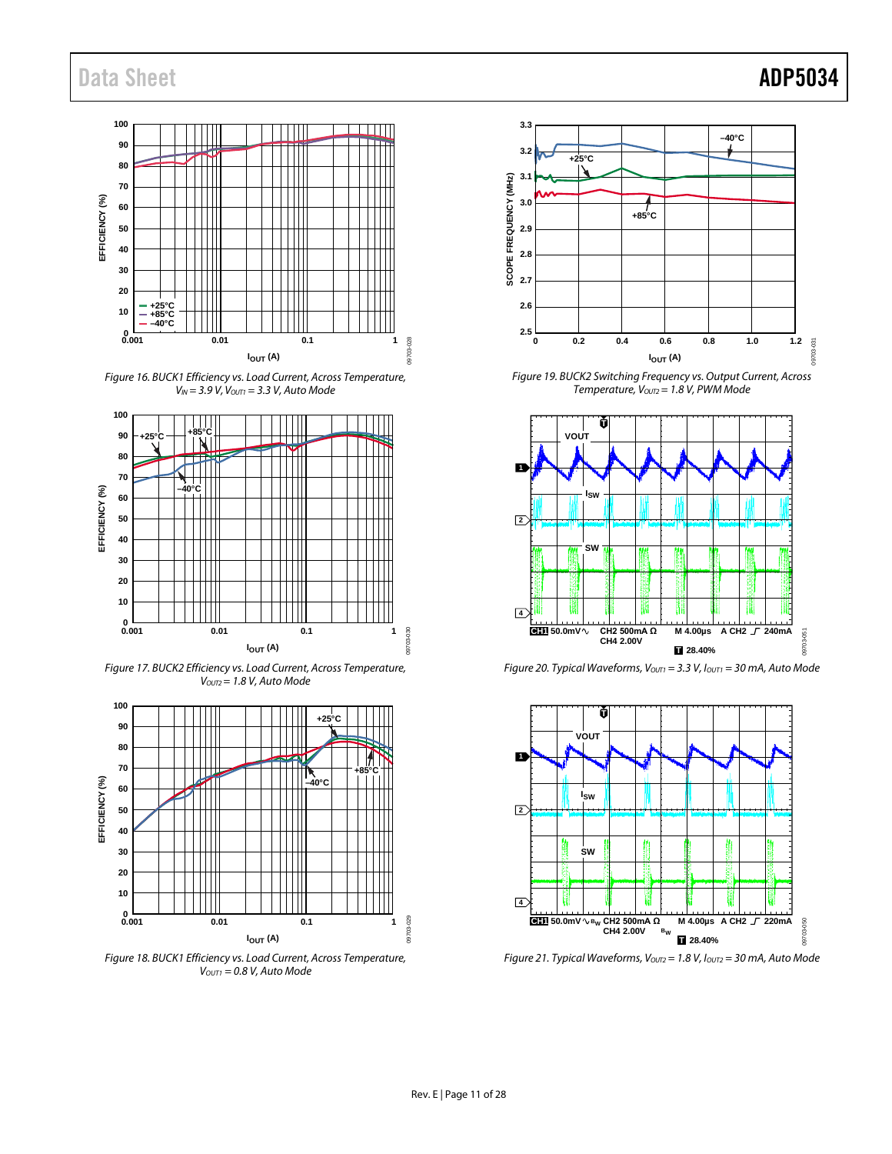# Data Sheet **ADP5034**

#### **100 90 80 70** 3 **EFFICIENCY (%) 60 EFFICIENCY 50 40 30 20 +25°C 10 +85°C –40°C**  $0.001$ pa **0.001 0.01 0.1 1** 09703-028 9703 **I**<sub>OUT</sub> (A)

*Figure 16. BUCK1 Efficiency vs. Load Current, Across Temperature, VIN = 3.9 V, VOUT1 = 3.3 V, Auto Mode*



*Figure 17. BUCK2 Efficiency vs. Load Current, Across Temperature, VOUT2= 1.8 V, Auto Mode*



*Figure 18. BUCK1 Efficiency vs. Load Current, Across Temperature, VOUT1 = 0.8 V, Auto Mode*



*Figure 19. BUCK2 Switching Frequency vs. Output Current, Across Temperature, VOUT2= 1.8 V, PWM Mode*



*Figure 20. Typical Waveforms, V<sub>OUT1</sub>* = 3.3 V,  $I_{OUT1}$  = 30 mA, Auto Mode



*Figure 21. Typical Waveforms, Vourz* = 1.8 V, Iourz = 30 mA, Auto Mode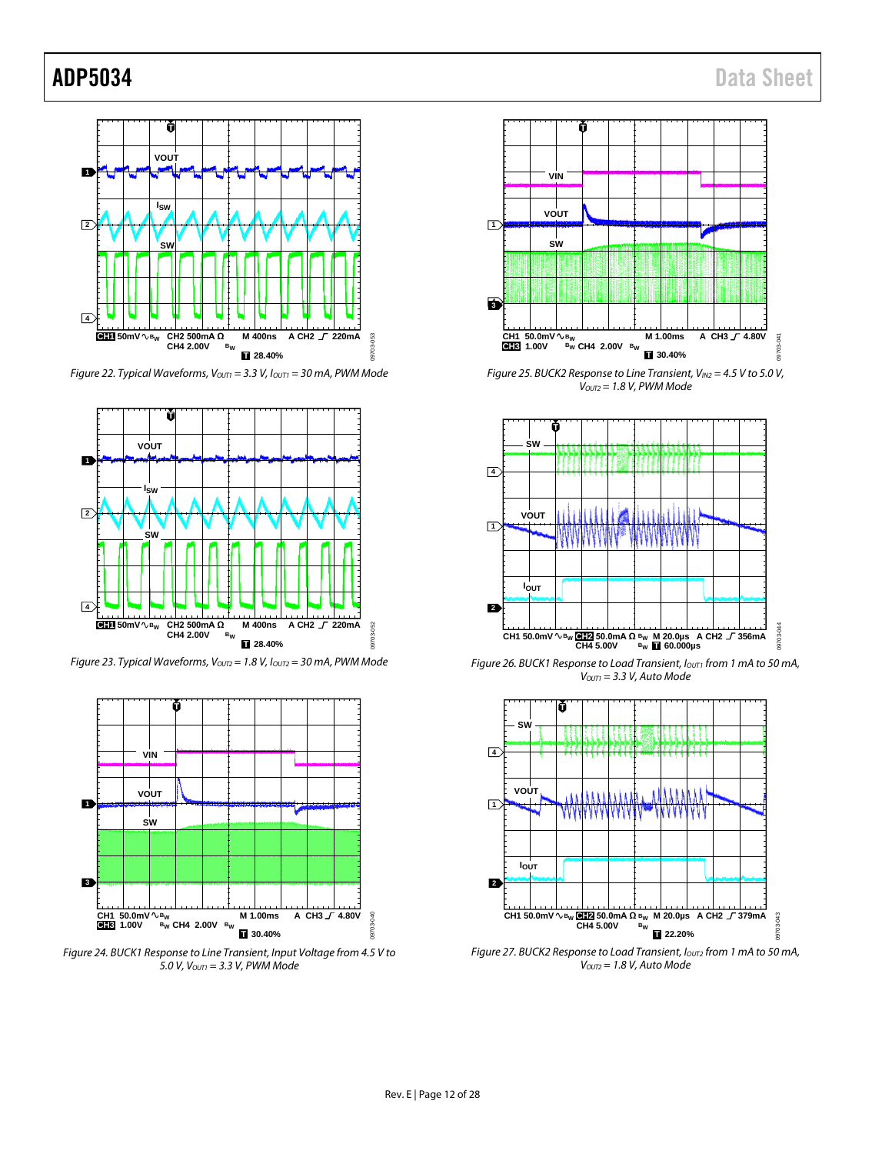

*Figure 22. Typical Waveforms, Vouri* = 3.3 *V, Iouri* = 30 mA, PWM Mode



*Figure 23. Typical Waveforms, Vourz* = 1.8 V, Iourz = 30 mA, PWM Mode



*Figure 24. BUCK1 Response to Line Transient, Input Voltage from 4.5 V to 5.0 V, VOUT1 = 3.3 V, PWM Mode*



*Figure 25. BUCK2 Response to Line Transient, VIN2 = 4.5 V to 5.0 V, VOUT2 = 1.8 V, PWM Mode*



*Figure 26. BUCK1 Response to Load Transient,*  $I_{\text{OUT1}}$  *from 1 mA to 50 mA, VOUT1 = 3.3 V, Auto Mode*



*Figure 27. BUCK2 Response to Load Transient, IOUT2 from 1 mA to 50 mA, VOUT2 = 1.8 V, Auto Mode*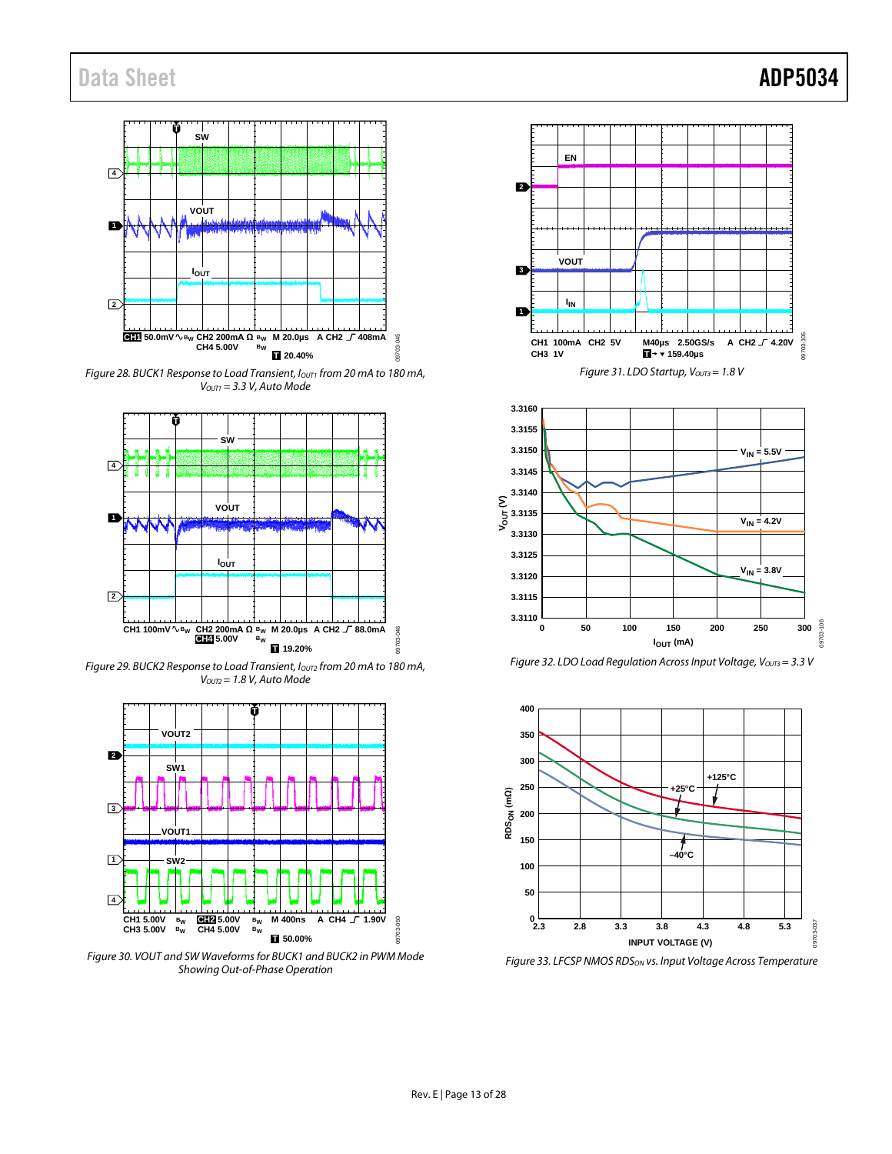

*Figure 28. BUCK1 Response to Load Transient, I<sub>OUT1</sub> from 20 mA to 180 mA, VOUT1 = 3.3 V, Auto Mode*



*Figure 29. BUCK2 Response to Load Transient, IOUT2 from 20 mA to 180 mA, VOUT2= 1.8 V, Auto Mode*



*Figure 30. VOUT and SW Waveforms for BUCK1 and BUCK2 in PWM Mode Showing Out-of-Phase Operation*





*Figure 32. LDO Load Regulation Across Input Voltage, Vours* = 3.3 *V* 



*Figure 33. LFCSP NMOS RDSON vs. Input Voltage Across Temperature*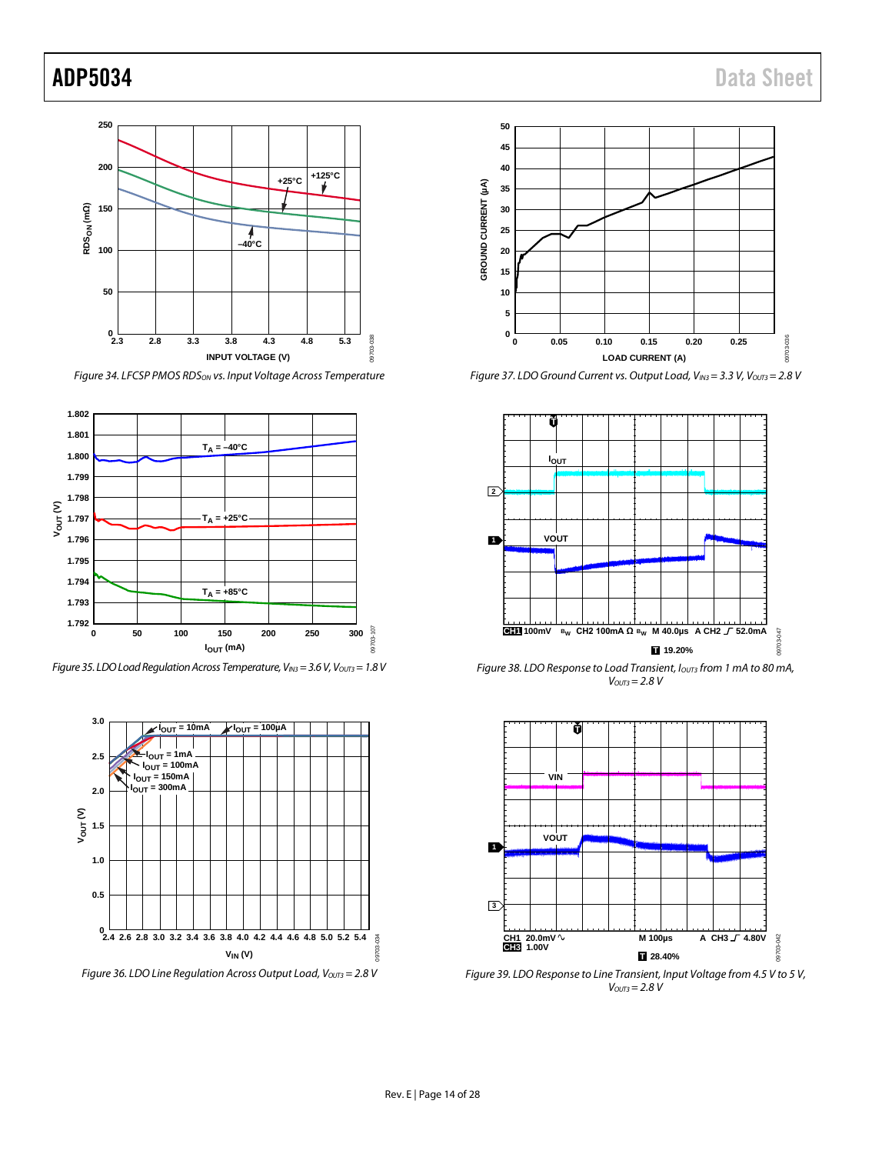

*Figure 34. LFCSP PMOS RDSON vs. Input Voltage Across Temperature*



*Figure 35. LDO Load Regulation Across Temperature, V<sub>IN3</sub> = 3.6 V, V<sub>OUT3</sub> = 1.8 V* 



*Figure 36. LDO Line Regulation Across Output Load, V<sub>OUT3</sub> = 2.8 V* 



*Figure 37. LDO Ground Current vs. Output Load, VIN3= 3.3 V, VOUT3= 2.8 V*



*Figure 38. LDO Response to Load Transient, I<sub>OUT3</sub> from 1 mA to 80 mA, VOUT3= 2.8 V*



*Figure 39. LDO Response to Line Transient, Input Voltage from 4.5 V to 5 V, VOUT3= 2.8 V*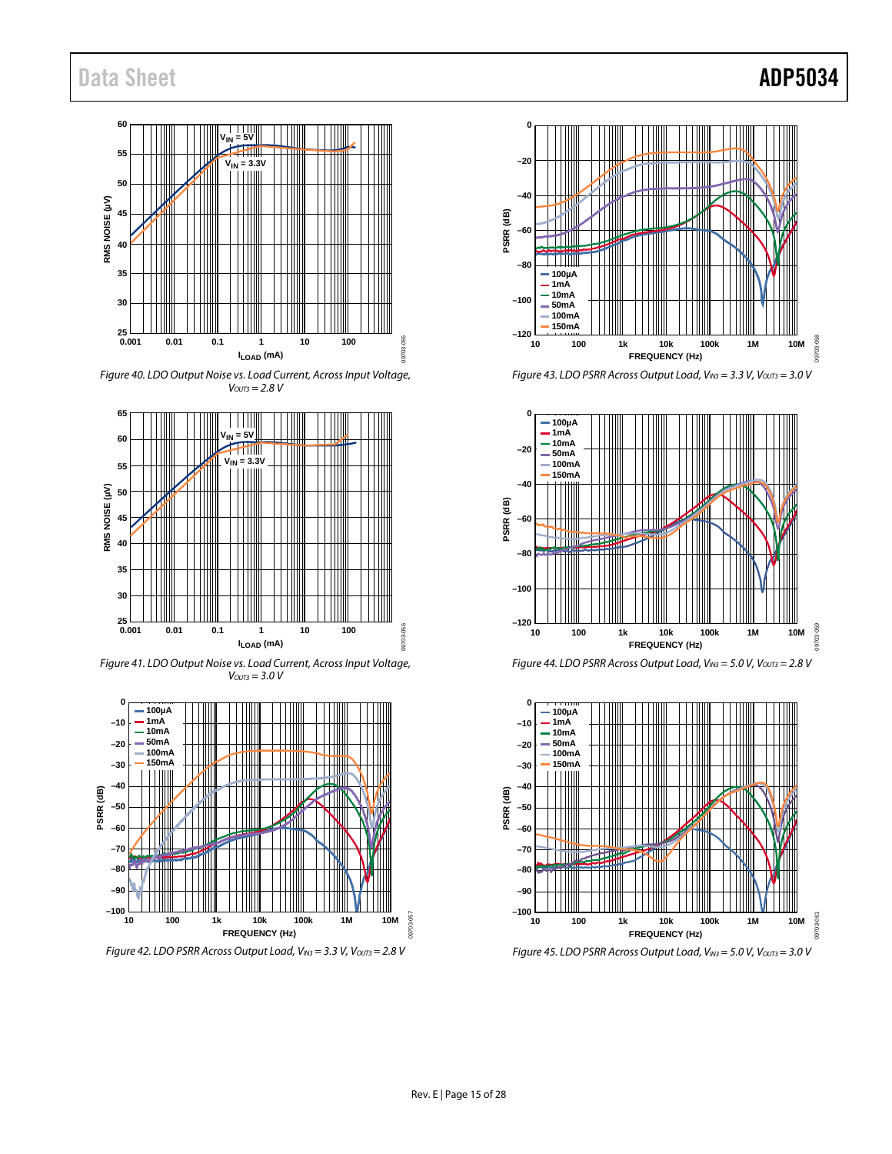#### **60 VIN = 5V 55**  $V_{IN} = 3.3V$ <br>| | | |||||| **50** RMS NOISE (µV) **RMS NOISE (µV) 45 40 35 30** 25<br>0.001 09703-055 **0.001 0.01 0.1 1 10 100 ILOAD (mA)**

*Figure 40. LDO Output Noise vs. Load Current, Across Input Voltage, VOUT3 = 2.8 V*



*Figure 41. LDO Output Noise vs. Load Current, Across Input Voltage, VOUT3 = 3.0 V*



*Figure 42. LDO PSRR Across Output Load, VIN3 = 3.3 V, VOUT3= 2.8 V*



*Figure 43. LDO PSRR Across Output Load, VIN3 = 3.3 V, VOUT3 = 3.0 V*







09703-057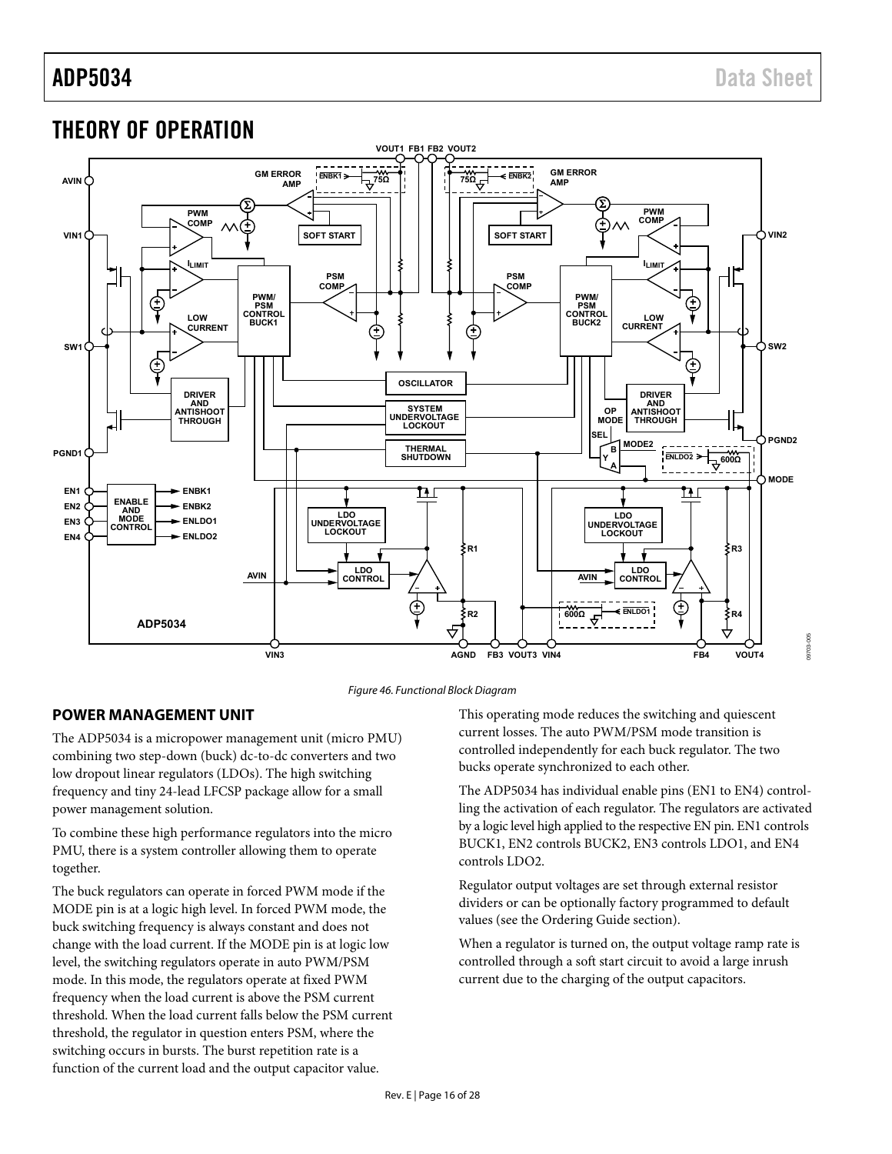09703-005

# <span id="page-16-0"></span>THEORY OF OPERATION





## <span id="page-16-1"></span>**POWER MANAGEMENT UNIT**

The ADP5034 is a micropower management unit (micro PMU) combining two step-down (buck) dc-to-dc converters and two low dropout linear regulators (LDOs). The high switching frequency and tiny 24-lead LFCSP package allow for a small power management solution.

To combine these high performance regulators into the micro PMU, there is a system controller allowing them to operate together.

The buck regulators can operate in forced PWM mode if the MODE pin is at a logic high level. In forced PWM mode, the buck switching frequency is always constant and does not change with the load current. If the MODE pin is at logic low level, the switching regulators operate in auto PWM/PSM mode. In this mode, the regulators operate at fixed PWM frequency when the load current is above the PSM current threshold. When the load current falls below the PSM current threshold, the regulator in question enters PSM, where the switching occurs in bursts. The burst repetition rate is a function of the current load and the output capacitor value.

This operating mode reduces the switching and quiescent current losses. The auto PWM/PSM mode transition is controlled independently for each buck regulator. The two bucks operate synchronized to each other.

The ADP5034 has individual enable pins (EN1 to EN4) controlling the activation of each regulator. The regulators are activated by a logic level high applied to the respective EN pin. EN1 controls BUCK1, EN2 controls BUCK2, EN3 controls LDO1, and EN4 controls LDO2.

Regulator output voltages are set through external resistor dividers or can be optionally factory programmed to default values (see the [Ordering Guide s](#page-28-0)ection).

When a regulator is turned on, the output voltage ramp rate is controlled through a soft start circuit to avoid a large inrush current due to the charging of the output capacitors.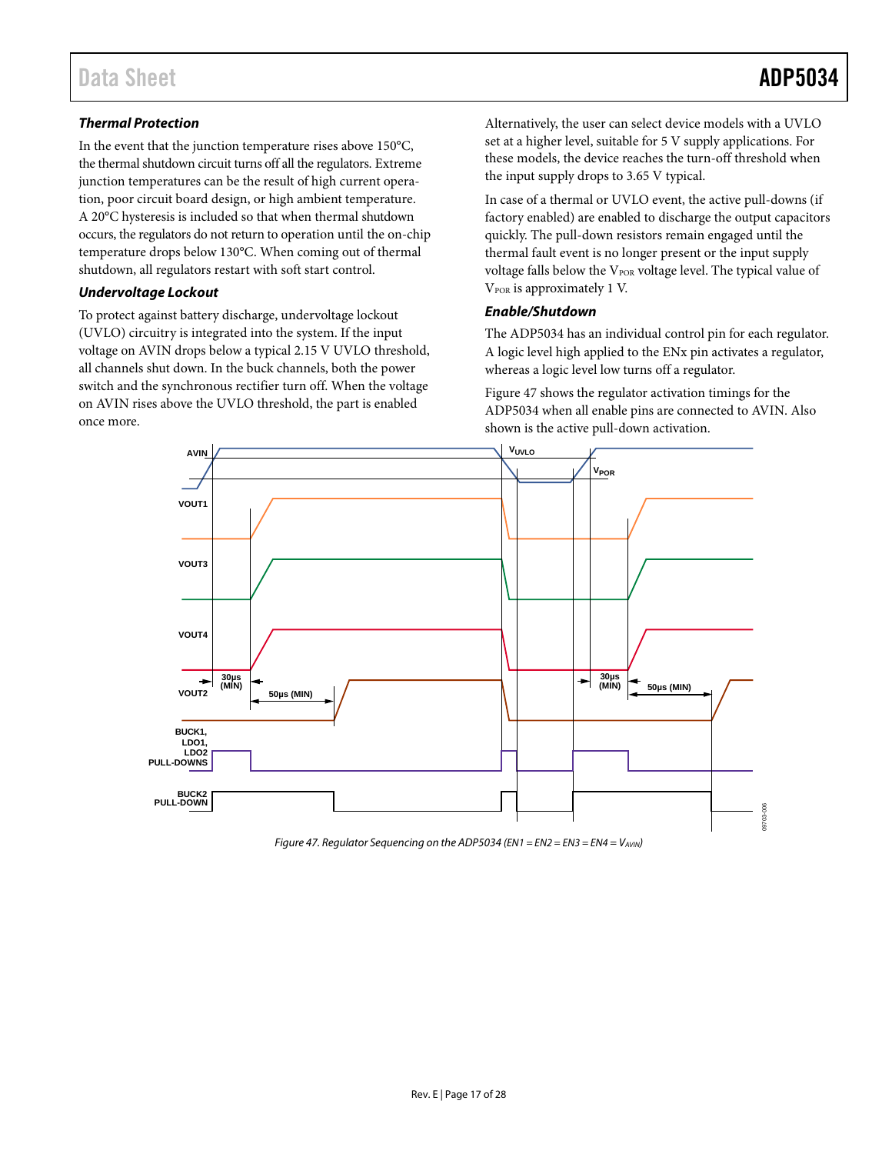## *Thermal Protection*

In the event that the junction temperature rises above 150°C, the thermal shutdown circuit turns off all the regulators. Extreme junction temperatures can be the result of high current operation, poor circuit board design, or high ambient temperature. A 20°C hysteresis is included so that when thermal shutdown occurs, the regulators do not return to operation until the on-chip temperature drops below 130°C. When coming out of thermal shutdown, all regulators restart with soft start control.

### *Undervoltage Lockout*

To protect against battery discharge, undervoltage lockout (UVLO) circuitry is integrated into the system. If the input voltage on AVIN drops below a typical 2.15 V UVLO threshold, all channels shut down. In the buck channels, both the power switch and the synchronous rectifier turn off. When the voltage on AVIN rises above the UVLO threshold, the part is enabled once more.

Alternatively, the user can select device models with a UVLO set at a higher level, suitable for 5 V supply applications. For these models, the device reaches the turn-off threshold when the input supply drops to 3.65 V typical.

In case of a thermal or UVLO event, the active pull-downs (if factory enabled) are enabled to discharge the output capacitors quickly. The pull-down resistors remain engaged until the thermal fault event is no longer present or the input supply voltage falls below the V<sub>POR</sub> voltage level. The typical value of V<sub>POR</sub> is approximately 1 V.

### *Enable/Shutdown*

The ADP5034 has an individual control pin for each regulator. A logic level high applied to the ENx pin activates a regulator, whereas a logic level low turns off a regulator.

[Figure 47](#page-17-0) shows the regulator activation timings for the ADP5034 when all enable pins are connected to AVIN. Also shown is the active pull-down activation.



<span id="page-17-0"></span>*Figure 47. Regulator Sequencing on the ADP5034 (EN1 = EN2 = EN3 = EN4 = VAVIN)*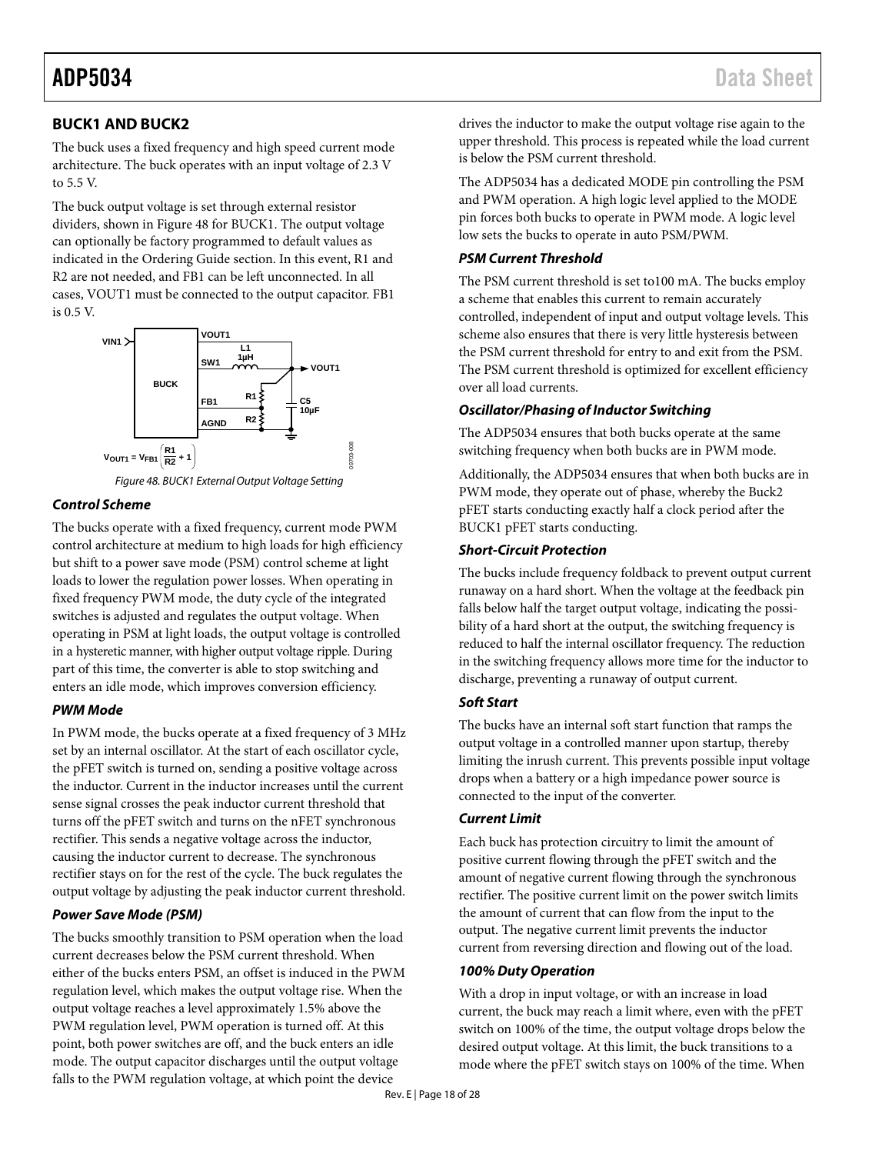# <span id="page-18-0"></span>**BUCK1 AND BUCK2**

The buck uses a fixed frequency and high speed current mode architecture. The buck operates with an input voltage of 2.3 V to 5.5 V.

The buck output voltage is set through external resistor dividers, shown i[n Figure 48](#page-18-1) for BUCK1. The output voltage can optionally be factory programmed to default values as indicated in the [Ordering Guide](#page-28-0) section. In this event, R1 and R2 are not needed, and FB1 can be left unconnected. In all cases, VOUT1 must be connected to the output capacitor. FB1 is 0.5 V.



*Figure 48. BUCK1 External Output Voltage Setting*

### <span id="page-18-1"></span>*Control Scheme*

The bucks operate with a fixed frequency, current mode PWM control architecture at medium to high loads for high efficiency but shift to a power save mode (PSM) control scheme at light loads to lower the regulation power losses. When operating in fixed frequency PWM mode, the duty cycle of the integrated switches is adjusted and regulates the output voltage. When operating in PSM at light loads, the output voltage is controlled in a hysteretic manner, with higher output voltage ripple. During part of this time, the converter is able to stop switching and enters an idle mode, which improves conversion efficiency.

## *PWM Mode*

In PWM mode, the bucks operate at a fixed frequency of 3 MHz set by an internal oscillator. At the start of each oscillator cycle, the pFET switch is turned on, sending a positive voltage across the inductor. Current in the inductor increases until the current sense signal crosses the peak inductor current threshold that turns off the pFET switch and turns on the nFET synchronous rectifier. This sends a negative voltage across the inductor, causing the inductor current to decrease. The synchronous rectifier stays on for the rest of the cycle. The buck regulates the output voltage by adjusting the peak inductor current threshold.

## *Power Save Mode (PSM)*

The bucks smoothly transition to PSM operation when the load current decreases below the PSM current threshold. When either of the bucks enters PSM, an offset is induced in the PWM regulation level, which makes the output voltage rise. When the output voltage reaches a level approximately 1.5% above the PWM regulation level, PWM operation is turned off. At this point, both power switches are off, and the buck enters an idle mode. The output capacitor discharges until the output voltage falls to the PWM regulation voltage, at which point the device

drives the inductor to make the output voltage rise again to the upper threshold. This process is repeated while the load current is below the PSM current threshold.

The ADP5034 has a dedicated MODE pin controlling the PSM and PWM operation. A high logic level applied to the MODE pin forces both bucks to operate in PWM mode. A logic level low sets the bucks to operate in auto PSM/PWM.

## *PSM Current Threshold*

The PSM current threshold is set to100 mA. The bucks employ a scheme that enables this current to remain accurately controlled, independent of input and output voltage levels. This scheme also ensures that there is very little hysteresis between the PSM current threshold for entry to and exit from the PSM. The PSM current threshold is optimized for excellent efficiency over all load currents.

## *Oscillator/Phasing of Inductor Switching*

The ADP5034 ensures that both bucks operate at the same switching frequency when both bucks are in PWM mode.

Additionally, the ADP5034 ensures that when both bucks are in PWM mode, they operate out of phase, whereby the Buck2 pFET starts conducting exactly half a clock period after the BUCK1 pFET starts conducting.

### *Short-Circuit Protection*

The bucks include frequency foldback to prevent output current runaway on a hard short. When the voltage at the feedback pin falls below half the target output voltage, indicating the possibility of a hard short at the output, the switching frequency is reduced to half the internal oscillator frequency. The reduction in the switching frequency allows more time for the inductor to discharge, preventing a runaway of output current.

## *Soft Start*

The bucks have an internal soft start function that ramps the output voltage in a controlled manner upon startup, thereby limiting the inrush current. This prevents possible input voltage drops when a battery or a high impedance power source is connected to the input of the converter.

## *Current Limit*

Each buck has protection circuitry to limit the amount of positive current flowing through the pFET switch and the amount of negative current flowing through the synchronous rectifier. The positive current limit on the power switch limits the amount of current that can flow from the input to the output. The negative current limit prevents the inductor current from reversing direction and flowing out of the load.

## *100% Duty Operation*

With a drop in input voltage, or with an increase in load current, the buck may reach a limit where, even with the pFET switch on 100% of the time, the output voltage drops below the desired output voltage. At this limit, the buck transitions to a mode where the pFET switch stays on 100% of the time. When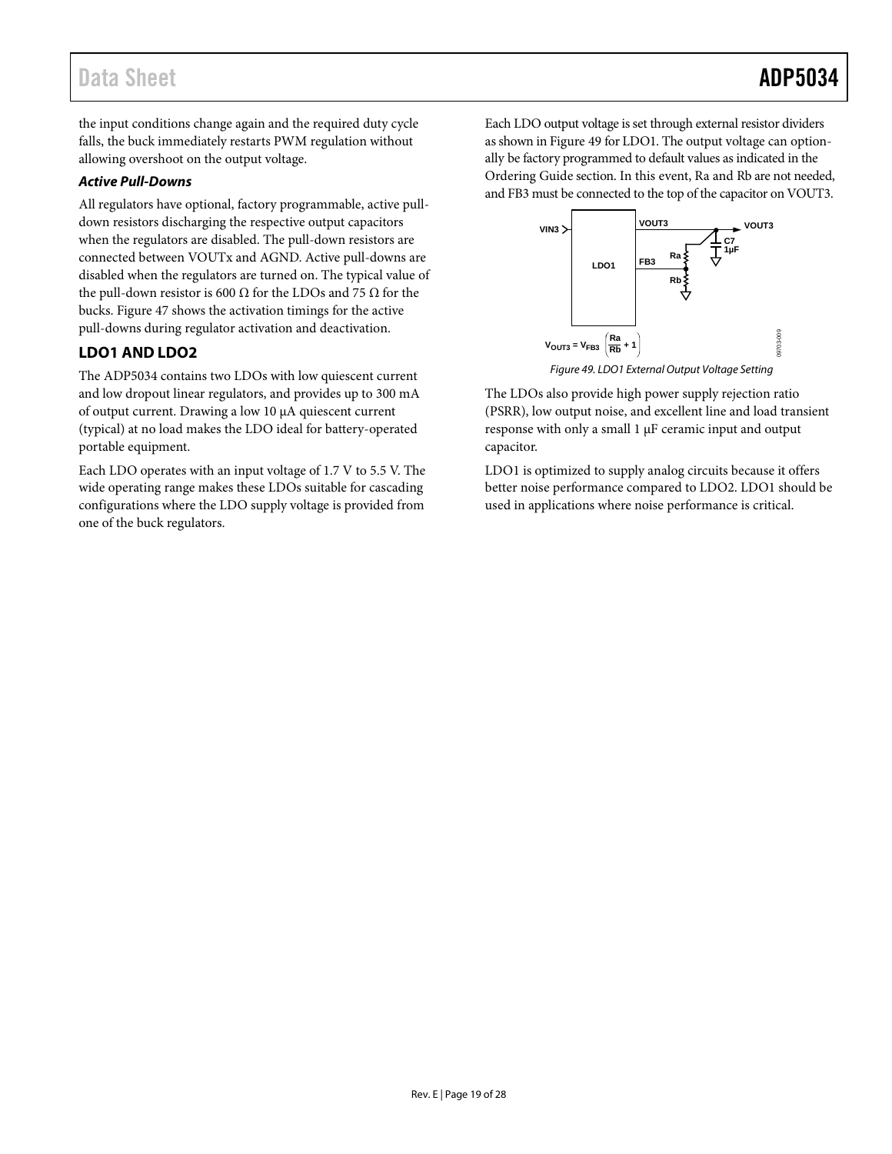# Data Sheet **ADP5034**

the input conditions change again and the required duty cycle falls, the buck immediately restarts PWM regulation without allowing overshoot on the output voltage.

### *Active Pull-Downs*

All regulators have optional, factory programmable, active pulldown resistors discharging the respective output capacitors when the regulators are disabled. The pull-down resistors are connected between VOUTx and AGND. Active pull-downs are disabled when the regulators are turned on. The typical value of the pull-down resistor is 600 Ω for the LDOs and 75 Ω for the bucks. [Figure 47](#page-17-0) shows the activation timings for the active pull-downs during regulator activation and deactivation.

# <span id="page-19-0"></span>**LDO1 AND LDO2**

The ADP5034 contains two LDOs with low quiescent current and low dropout linear regulators, and provides up to 300 mA of output current. Drawing a low 10 μA quiescent current (typical) at no load makes the LDO ideal for battery-operated portable equipment.

Each LDO operates with an input voltage of 1.7 V to 5.5 V. The wide operating range makes these LDOs suitable for cascading configurations where the LDO supply voltage is provided from one of the buck regulators.

Each LDO output voltage is set through external resistor dividers as shown i[n Figure 49](#page-19-1) for LDO1. The output voltage can optionally be factory programmed to default values as indicated in the [Ordering Guide](#page-28-0) section. In this event, Ra and Rb are not needed, and FB3 must be connected to the top of the capacitor on VOUT3.



*Figure 49. LDO1 External Output Voltage Setting*

<span id="page-19-1"></span>The LDOs also provide high power supply rejection ratio (PSRR), low output noise, and excellent line and load transient response with only a small 1 µF ceramic input and output capacitor.

LDO1 is optimized to supply analog circuits because it offers better noise performance compared to LDO2. LDO1 should be used in applications where noise performance is critical.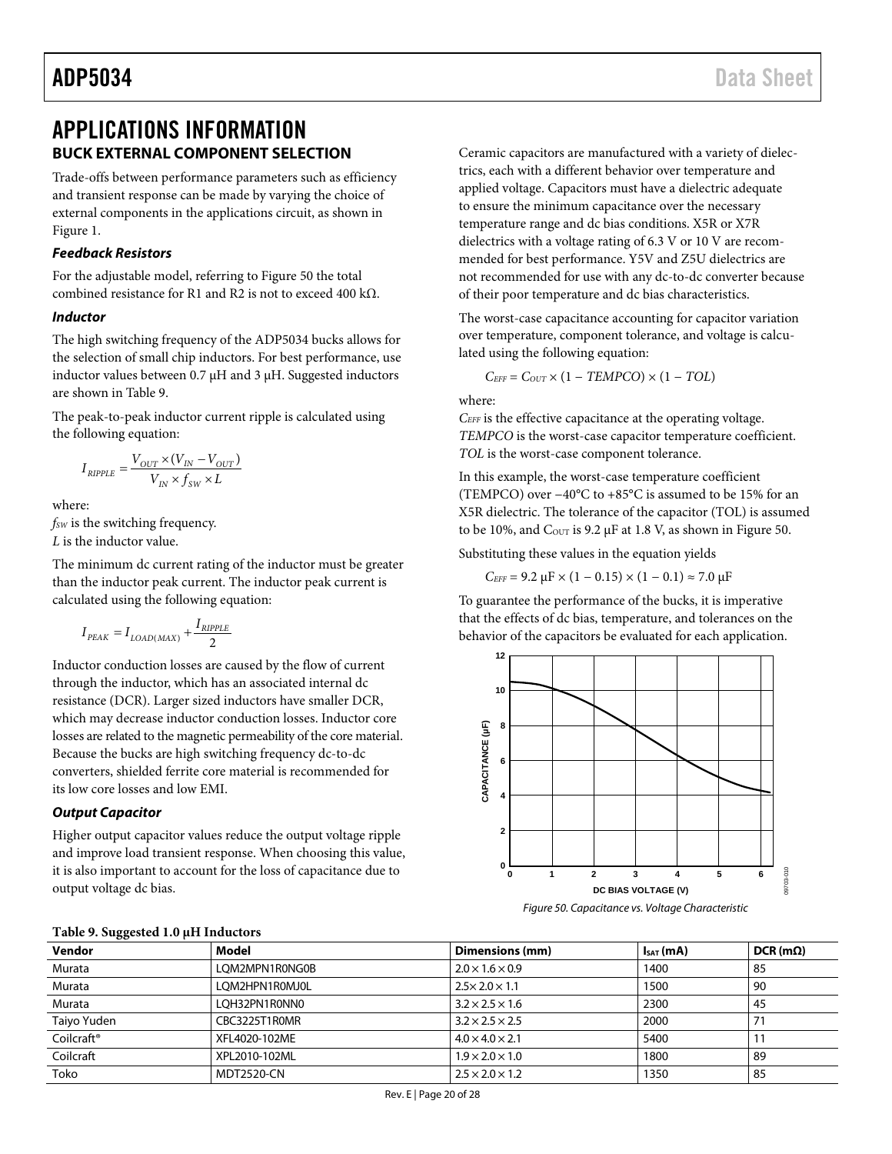# <span id="page-20-1"></span><span id="page-20-0"></span>APPLICATIONS INFORMATION **BUCK EXTERNAL COMPONENT SELECTION**

Trade-offs between performance parameters such as efficiency and transient response can be made by varying the choice of external components in the applications circuit, as shown in [Figure 1.](#page-0-4)

#### *Feedback Resistors*

For the adjustable model, referring t[o Figure 50](#page-20-2) the total combined resistance for R1 and R2 is not to exceed 400 kΩ.

#### *Inductor*

The high switching frequency of the ADP5034 bucks allows for the selection of small chip inductors. For best performance, use inductor values between 0.7 μH and 3 μH. Suggested inductors are shown in [Table 9.](#page-20-3)

The peak-to-peak inductor current ripple is calculated using the following equation:

$$
I_{\textit{RIPPLE}} = \frac{V_{\textit{OUT}} \times (V_{\textit{IN}} - V_{\textit{OUT}})}{V_{\textit{IN}} \times f_{\textit{SW}} \times L}
$$

where:

*fSW* is the switching frequency. *L* is the inductor value.

The minimum dc current rating of the inductor must be greater than the inductor peak current. The inductor peak current is calculated using the following equation:

$$
I_{\textit{PEAK}} = I_{\textit{LOAD(MAX)}} + \frac{I_{\textit{RIPPLE}}}{2}
$$

<span id="page-20-3"></span>**Table 9. Suggested 1.0 μH Inductors**

Inductor conduction losses are caused by the flow of current through the inductor, which has an associated internal dc resistance (DCR). Larger sized inductors have smaller DCR, which may decrease inductor conduction losses. Inductor core losses are related to the magnetic permeability of the core material. Because the bucks are high switching frequency dc-to-dc converters, shielded ferrite core material is recommended for its low core losses and low EMI.

#### *Output Capacitor*

Higher output capacitor values reduce the output voltage ripple and improve load transient response. When choosing this value, it is also important to account for the loss of capacitance due to output voltage dc bias.

Ceramic capacitors are manufactured with a variety of dielectrics, each with a different behavior over temperature and applied voltage. Capacitors must have a dielectric adequate to ensure the minimum capacitance over the necessary temperature range and dc bias conditions. X5R or X7R dielectrics with a voltage rating of 6.3 V or 10 V are recommended for best performance. Y5V and Z5U dielectrics are not recommended for use with any dc-to-dc converter because of their poor temperature and dc bias characteristics.

The worst-case capacitance accounting for capacitor variation over temperature, component tolerance, and voltage is calculated using the following equation:

$$
C_{EFF} = C_{OUT} \times (1 - TEMPCO) \times (1 - TOL)
$$

where:

*CEFF* is the effective capacitance at the operating voltage. *TEMPCO* is the worst-case capacitor temperature coefficient. *TOL* is the worst-case component tolerance.

In this example, the worst-case temperature coefficient (TEMPCO) over −40°C to +85°C is assumed to be 15% for an X5R dielectric. The tolerance of the capacitor (TOL) is assumed to be 10%, and  $C_{\text{OUT}}$  is 9.2  $\mu$ F at 1.8 V, as shown i[n Figure 50.](#page-20-2)

Substituting these values in the equation yields

 $C_{EFF}$  = 9.2  $\mu$ F × (1 – 0.15) × (1 – 0.1) ≈ 7.0  $\mu$ F

To guarantee the performance of the bucks, it is imperative that the effects of dc bias, temperature, and tolerances on the behavior of the capacitors be evaluated for each application.



<span id="page-20-2"></span>*Figure 50. Capacitance vs. Voltage Characteristic*

| Vendor                 | Model          | Dimensions (mm)             | $I_{SAT}(mA)$ | $DCR$ (m $\Omega$ ) |  |  |  |
|------------------------|----------------|-----------------------------|---------------|---------------------|--|--|--|
| Murata                 | LOM2MPN1R0NG0B | $2.0 \times 1.6 \times 0.9$ | 1400          | 85                  |  |  |  |
| Murata                 | LOM2HPN1R0MJ0L | $2.5 \times 2.0 \times 1.1$ | 1500          | 90                  |  |  |  |
| Murata                 | LOH32PN1R0NN0  | $3.2 \times 2.5 \times 1.6$ | 2300          | 45                  |  |  |  |
| Taiyo Yuden            | CBC3225T1R0MR  | $3.2 \times 2.5 \times 2.5$ | 2000          |                     |  |  |  |
| Coilcraft <sup>®</sup> | XFL4020-102ME  | $4.0 \times 4.0 \times 2.1$ | 5400          |                     |  |  |  |
| Coilcraft              | XPL2010-102ML  | $1.9 \times 2.0 \times 1.0$ | 1800          | 89                  |  |  |  |
| Toko                   | MDT2520-CN     | $2.5 \times 2.0 \times 1.2$ | 1350          | 85                  |  |  |  |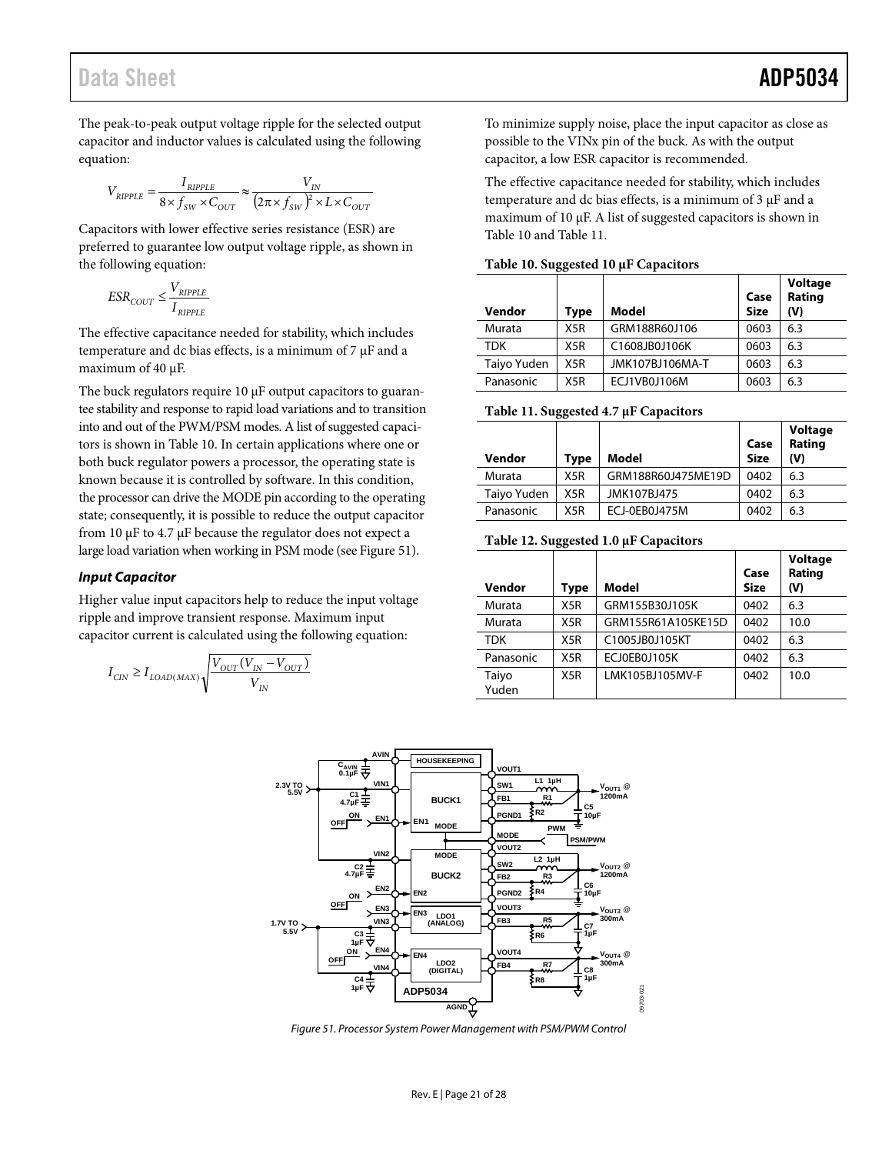The peak-to-peak output voltage ripple for the selected output capacitor and inductor values is calculated using the following equation:

$$
V_{RIPPLE} = \frac{I_{RIPPLE}}{8 \times f_{SW} \times C_{OUT}} \approx \frac{V_{IN}}{(2\pi \times f_{SW})^2 \times L \times C_{OUT}}
$$

Capacitors with lower effective series resistance (ESR) are preferred to guarantee low output voltage ripple, as shown in the following equation:

$$
ESR_{COUT} \leq \frac{V_{RIPPLE}}{I_{RIPPLE}}
$$

The effective capacitance needed for stability, which includes temperature and dc bias effects, is a minimum of  $7 \mu$ F and a maximum of 40 µF.

The buck regulators require 10 µF output capacitors to guarantee stability and response to rapid load variations and to transition into and out of the PWM/PSM modes. A list of suggested capacitors is shown in [Table 10.](#page-21-0) In certain applications where one or both buck regulator powers a processor, the operating state is known because it is controlled by software. In this condition, the processor can drive the MODE pin according to the operating state; consequently, it is possible to reduce the output capacitor from 10 µF to 4.7 µF because the regulator does not expect a large load variation when working in PSM mode (se[e Figure 51\)](#page-21-1).

#### *Input Capacitor*

Higher value input capacitors help to reduce the input voltage ripple and improve transient response. Maximum input capacitor current is calculated using the following equation:

$$
I_{\textit{CIN}} \geq I_{\textit{LOAD(MAX)}}\sqrt{\frac{V_{\textit{OUT}}(V_{\textit{IN}}-V_{\textit{OUT}})}{V_{\textit{IN}}}}
$$

To minimize supply noise, place the input capacitor as close as possible to the VINx pin of the buck. As with the output capacitor, a low ESR capacitor is recommended.

The effective capacitance needed for stability, which includes temperature and dc bias effects, is a minimum of 3 µF and a maximum of 10 µF. A list of suggested capacitors is shown in [Table 10](#page-21-0) and [Table 11.](#page-21-2)

| Vendor      | $\sigma$<br>Type | Model           | Case<br><b>Size</b> | Voltage<br>Rating<br>(V) |
|-------------|------------------|-----------------|---------------------|--------------------------|
| Murata      | X <sub>5</sub> R | GRM188R60J106   | 0603                | 6.3                      |
| <b>TDK</b>  | X <sub>5</sub> R | C1608JB0J106K   | 0603                | 6.3                      |
| Taiyo Yuden | X <sub>5</sub> R | JMK107BJ106MA-T | 0603                | 6.3                      |
| Panasonic   | X <sub>5</sub> R | ECJ1VB0J106M    | 0603                | 6.3                      |

<span id="page-21-0"></span>**Table 10. Suggested 10 μF Capacitors**

<span id="page-21-2"></span>**Table 11. Suggested 4.7 μF Capacitors**

| Vendor      | Type | Model              | Case<br><b>Size</b> | Voltage<br>Rating<br>(V) |
|-------------|------|--------------------|---------------------|--------------------------|
| Murata      | X5R  | GRM188R60J475ME19D | 0402                | 6.3                      |
| Taiyo Yuden | X5R  | JMK107BJ475        | 0402                | 6.3                      |
| Panasonic   | X5R  | ECJ-0EB0J475M      | 0402                | 6.3                      |

#### **Table 12. Suggested 1.0 μF Capacitors**

| Vendor         | <b>Type</b> | Model              | Case<br><b>Size</b> | Voltage<br>Rating<br>(V) |
|----------------|-------------|--------------------|---------------------|--------------------------|
| Murata         | X5R         | GRM155B30J105K     | 0402                | 6.3                      |
| Murata         | X5R         | GRM155R61A105KE15D | 0402                | 10.0                     |
| <b>TDK</b>     | X5R         | C1005JB0J105KT     | 0402                | 6.3                      |
| Panasonic      | X5R         | ECJ0EB0J105K       | 0402                | 6.3                      |
| Taiyo<br>Yuden | X5R         | LMK105BJ105MV-F    | 0402                | 10.0                     |



<span id="page-21-1"></span>*Figure 51. Processor System Power Management with PSM/PWM Control*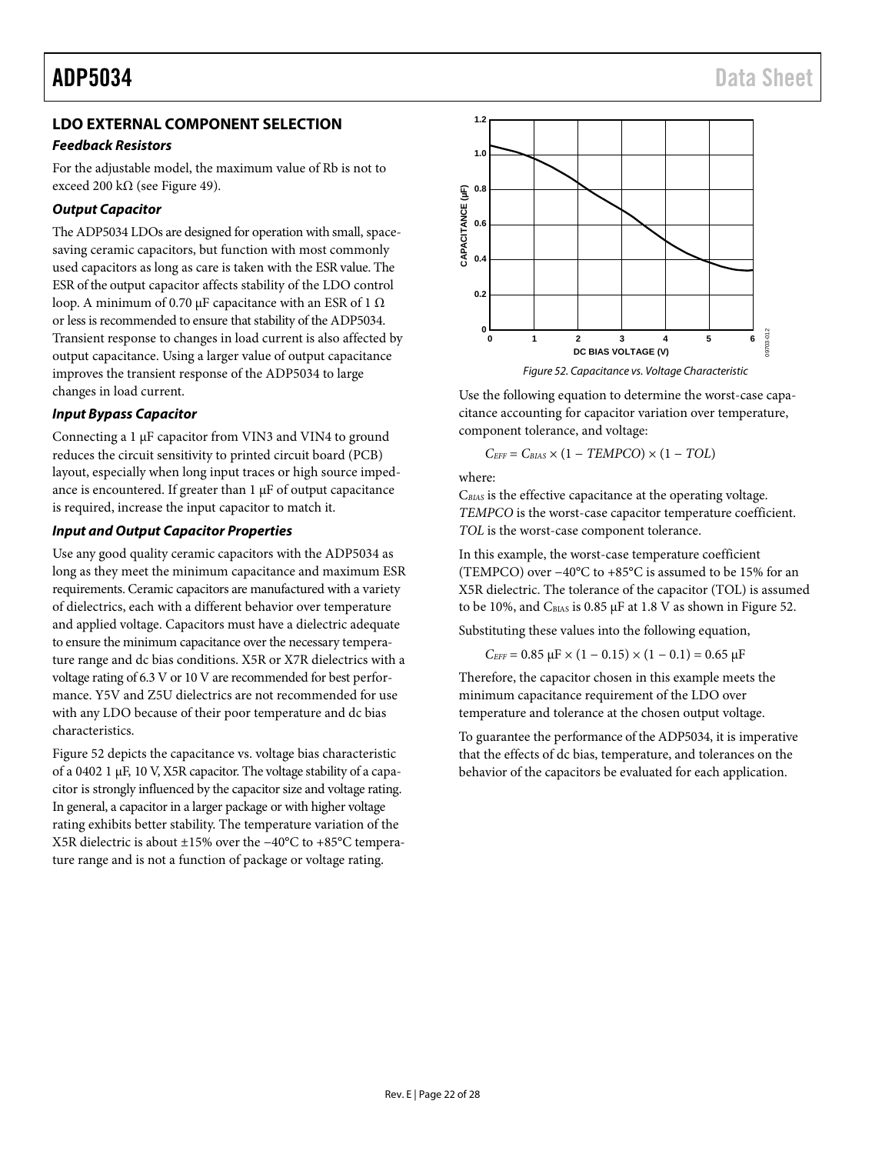# <span id="page-22-0"></span>**LDO EXTERNAL COMPONENT SELECTION**

#### *Feedback Resistors*

For the adjustable model, the maximum value of Rb is not to exceed 200 k $\Omega$  (see [Figure 49\)](#page-19-1).

### *Output Capacitor*

The ADP5034 LDOs are designed for operation with small, spacesaving ceramic capacitors, but function with most commonly used capacitors as long as care is taken with the ESR value. The ESR of the output capacitor affects stability of the LDO control loop. A minimum of 0.70 µF capacitance with an ESR of 1 Ω or less is recommended to ensure that stability of the ADP5034. Transient response to changes in load current is also affected by output capacitance. Using a larger value of output capacitance improves the transient response of the ADP5034 to large changes in load current.

### *Input Bypass Capacitor*

Connecting a 1 µF capacitor from VIN3 and VIN4 to ground reduces the circuit sensitivity to printed circuit board (PCB) layout, especially when long input traces or high source impedance is encountered. If greater than  $1 \mu$ F of output capacitance is required, increase the input capacitor to match it.

### *Input and Output Capacitor Properties*

Use any good quality ceramic capacitors with the ADP5034 as long as they meet the minimum capacitance and maximum ESR requirements. Ceramic capacitors are manufactured with a variety of dielectrics, each with a different behavior over temperature and applied voltage. Capacitors must have a dielectric adequate to ensure the minimum capacitance over the necessary temperature range and dc bias conditions. X5R or X7R dielectrics with a voltage rating of 6.3 V or 10 V are recommended for best performance. Y5V and Z5U dielectrics are not recommended for use with any LDO because of their poor temperature and dc bias characteristics.

[Figure 52](#page-22-1) depicts the capacitance vs. voltage bias characteristic of a 0402 1 µF, 10 V, X5R capacitor. The voltage stability of a capacitor is strongly influenced by the capacitor size and voltage rating. In general, a capacitor in a larger package or with higher voltage rating exhibits better stability. The temperature variation of the X5R dielectric is about ±15% over the −40°C to +85°C temperature range and is not a function of package or voltage rating.



<span id="page-22-1"></span>Use the following equation to determine the worst-case capacitance accounting for capacitor variation over temperature, component tolerance, and voltage:

$$
C_{EFF} = C_{BIAS} \times (1 - TEMPCO) \times (1 - TOL)
$$

where:

C*BIAS* is the effective capacitance at the operating voltage. *TEMPCO* is the worst-case capacitor temperature coefficient. *TOL* is the worst-case component tolerance.

In this example, the worst-case temperature coefficient (TEMPCO) over −40°C to +85°C is assumed to be 15% for an X5R dielectric. The tolerance of the capacitor (TOL) is assumed to be 10%, and  $C_{\text{BIAS}}$  is 0.85  $\mu$ F at 1.8 V as shown in [Figure 52.](#page-22-1)

Substituting these values into the following equation,

$$
C_{\text{EFF}} = 0.85 \ \mu F \times (1 - 0.15) \times (1 - 0.1) = 0.65 \ \mu F
$$

Therefore, the capacitor chosen in this example meets the minimum capacitance requirement of the LDO over temperature and tolerance at the chosen output voltage.

To guarantee the performance of the ADP5034, it is imperative that the effects of dc bias, temperature, and tolerances on the behavior of the capacitors be evaluated for each application.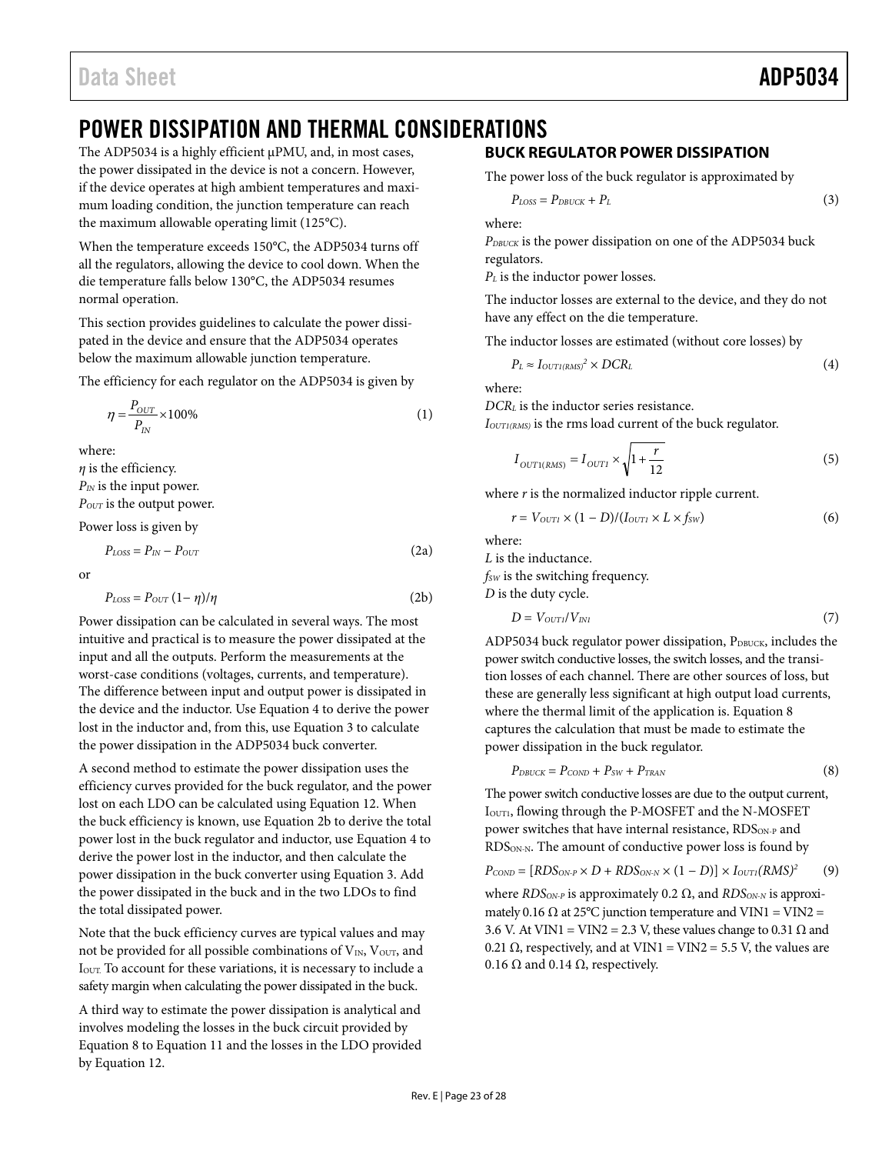# <span id="page-23-0"></span>POWER DISSIPATION AND THERMAL CONSIDERATIONS

The ADP5034 is a highly efficient µPMU, and, in most cases, the power dissipated in the device is not a concern. However, if the device operates at high ambient temperatures and maximum loading condition, the junction temperature can reach the maximum allowable operating limit (125°C).

When the temperature exceeds 150°C, the ADP5034 turns off all the regulators, allowing the device to cool down. When the die temperature falls below 130°C, the ADP5034 resumes normal operation.

This section provides guidelines to calculate the power dissipated in the device and ensure that the ADP5034 operates below the maximum allowable junction temperature.

The efficiency for each regulator on the ADP5034 is given by

$$
\eta = \frac{P_{OUT}}{P_{IN}} \times 100\%
$$
\n(1)

where:

*η* is the efficiency.

*PIN* is the input power.

*POUT* is the output power.

Power loss is given by

$$
P_{\text{LOSS}} = P_{\text{IN}} - P_{\text{OUT}} \tag{2a}
$$

or

$$
P_{\text{Loss}} = P_{\text{OUT}} \left( 1 - \eta \right) / \eta \tag{2b}
$$

Power dissipation can be calculated in several ways. The most intuitive and practical is to measure the power dissipated at the input and all the outputs. Perform the measurements at the worst-case conditions (voltages, currents, and temperature). The difference between input and output power is dissipated in the device and the inductor. Use Equation 4 to derive the power lost in the inductor and, from this, use Equation 3 to calculate the power dissipation in the ADP5034 buck converter.

A second method to estimate the power dissipation uses the efficiency curves provided for the buck regulator, and the power lost on each LDO can be calculated using Equation 12. When the buck efficiency is known, use Equation 2b to derive the total power lost in the buck regulator and inductor, use Equation 4 to derive the power lost in the inductor, and then calculate the power dissipation in the buck converter using Equation 3. Add the power dissipated in the buck and in the two LDOs to find the total dissipated power.

Note that the buck efficiency curves are typical values and may not be provided for all possible combinations of  $V_{IN}$ ,  $V_{OUT}$ , and IOUT. To account for these variations, it is necessary to include a safety margin when calculating the power dissipated in the buck.

A third way to estimate the power dissipation is analytical and involves modeling the losses in the buck circuit provided by Equation 8 to Equation 11 and the losses in the LDO provided by Equation 12.

# <span id="page-23-1"></span>**BUCK REGULATOR POWER DISSIPATION**

The power loss of the buck regulator is approximated by

$$
P_{\text{LOSS}} = P_{\text{DBUCK}} + P_L \tag{3}
$$

where:

*PDBUCK* is the power dissipation on one of the ADP5034 buck regulators.

*P<sub>L</sub>* is the inductor power losses.

The inductor losses are external to the device, and they do not have any effect on the die temperature.

The inductor losses are estimated (without core losses) by

$$
P_L \approx I_{OUTI(RMS)}^2 \times DCR_L \tag{4}
$$

where:

*DCRL* is the inductor series resistance. *IOUT1(RMS)* is the rms load current of the buck regulator.

$$
I_{OUT1(RMS)} = I_{OUT1} \times \sqrt{1 + \frac{r}{12}}\tag{5}
$$

where *r* is the normalized inductor ripple current.

$$
r = V_{\text{OUT1}} \times (1 - D) / (I_{\text{OUT1}} \times L \times f_{\text{SW}})
$$
 (6)

where:

*L* is the inductance.

*fsw* is the switching frequency.

*D* is the duty cycle.

$$
D = V_{\text{OUT1}} / V_{\text{INI}} \tag{7}
$$

ADP5034 buck regulator power dissipation, PDBUCK, includes the power switch conductive losses, the switch losses, and the transition losses of each channel. There are other sources of loss, but these are generally less significant at high output load currents, where the thermal limit of the application is. Equation 8 captures the calculation that must be made to estimate the power dissipation in the buck regulator.

$$
P_{DBUCK} = P_{\text{COMP}} + P_{SW} + P_{\text{TRAN}} \tag{8}
$$

The power switch conductive losses are due to the output current, I<sub>OUT1</sub>, flowing through the P-MOSFET and the N-MOSFET power switches that have internal resistance, RDS<sub>ON-P</sub> and RDS<sub>ON-N</sub>. The amount of conductive power loss is found by

$$
P_{\text{COMP}} = [RDS_{\text{ON-P}} \times D + RDS_{\text{ON-N}} \times (1 - D)] \times I_{\text{OUT1}} (RMS)^2 \tag{9}
$$

where *RDS<sub>ON-P</sub>* is approximately 0.2 Ω, and *RDS<sub>ON-N</sub>* is approximately 0.16 Ω at 25°C junction temperature and VIN1 = VIN2 = 3.6 V. At VIN1 = VIN2 = 2.3 V, these values change to 0.31  $\Omega$  and 0.21  $\Omega$ , respectively, and at VIN1 = VIN2 = 5.5 V, the values are 0.16  $\Omega$  and 0.14  $\Omega$ , respectively.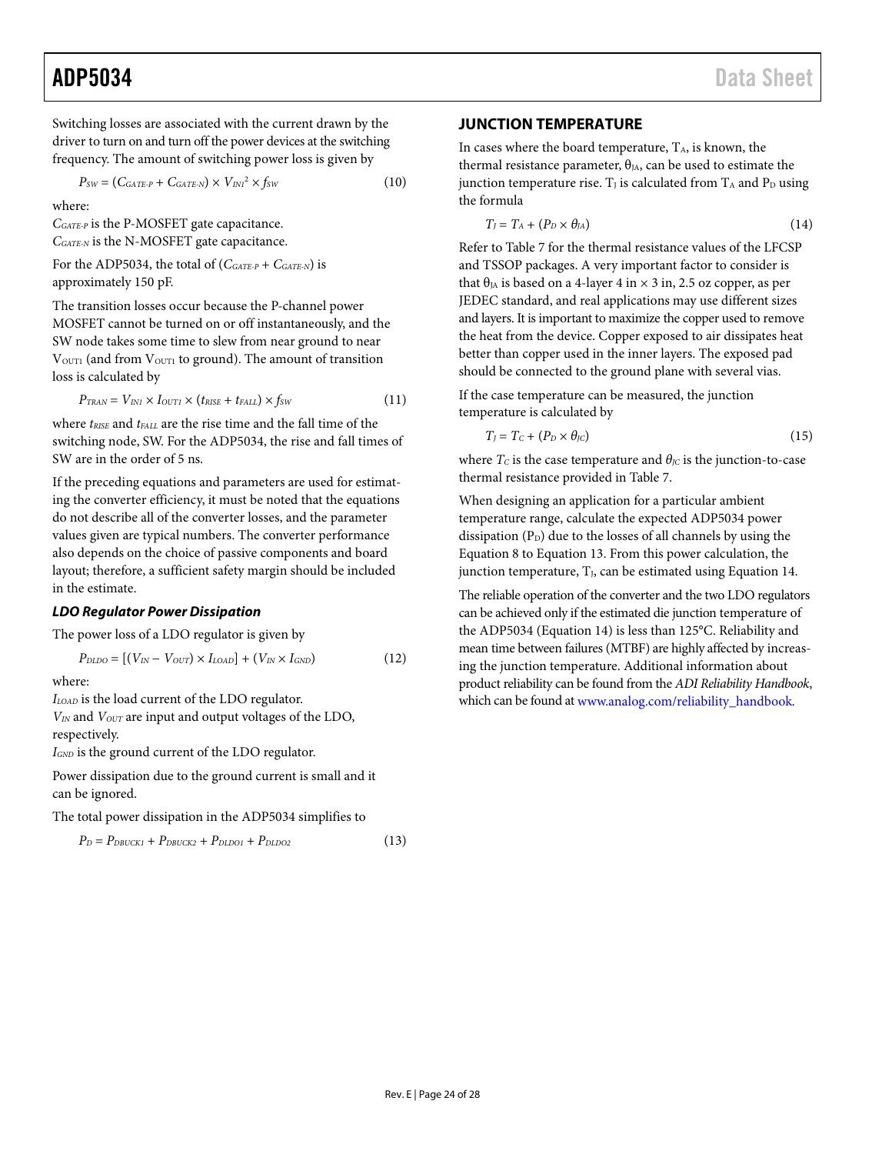# ADP5034 Data Sheet

Switching losses are associated with the current drawn by the driver to turn on and turn off the power devices at the switching frequency. The amount of switching power loss is given by

$$
P_{SW} = (C_{GATE-P} + C_{GATE-N}) \times V_{INI}^2 \times f_{SW}
$$
 (10)

where:

*CGATE-P* is the P-MOSFET gate capacitance. *CGATE-N* is the N-MOSFET gate capacitance.

For the ADP5034, the total of (*CGATE-P* + *CGATE-N*) is approximately 150 pF.

The transition losses occur because the P-channel power MOSFET cannot be turned on or off instantaneously, and the SW node takes some time to slew from near ground to near V<sub>OUT1</sub> (and from V<sub>OUT1</sub> to ground). The amount of transition loss is calculated by

$$
P_{\text{TRAN}} = V_{\text{IN1}} \times I_{\text{OUT1}} \times (t_{\text{RISE}} + t_{\text{FALL}}) \times f_{\text{SW}} \tag{11}
$$

where  $t_{RISE}$  and  $t_{FALL}$  are the rise time and the fall time of the switching node, SW. For the ADP5034, the rise and fall times of SW are in the order of 5 ns.

If the preceding equations and parameters are used for estimating the converter efficiency, it must be noted that the equations do not describe all of the converter losses, and the parameter values given are typical numbers. The converter performance also depends on the choice of passive components and board layout; therefore, a sufficient safety margin should be included in the estimate.

#### *LDO Regulator Power Dissipation*

The power loss of a LDO regulator is given by

$$
P_{DLDO} = [(V_{IN} - V_{OUT}) \times I_{LOAD}] + (V_{IN} \times I_{GND}) \tag{12}
$$

where:

*ILOAD* is the load current of the LDO regulator. *VIN* and *VOUT* are input and output voltages of the LDO, respectively.

*IGND* is the ground current of the LDO regulator.

Power dissipation due to the ground current is small and it can be ignored.

The total power dissipation in the ADP5034 simplifies to

$$
P_D = P_{DBUCK1} + P_{DBUCK2} + P_{DLDO1} + P_{DLDO2}
$$
 (13)

#### <span id="page-24-0"></span>**JUNCTION TEMPERATURE**

In cases where the board temperature,  $T_A$ , is known, the thermal resistance parameter,  $\theta_{JA}$ , can be used to estimate the junction temperature rise.  $T_J$  is calculated from  $T_A$  and  $P_D$  using the formula

$$
T_J = T_A + (P_D \times \theta_{JA})
$$
 (14)

Refer t[o Table 7](#page-7-3) for the thermal resistance values of the LFCSP and TSSOP packages. A very important factor to consider is that  $\theta_{JA}$  is based on a 4-layer 4 in  $\times$  3 in, 2.5 oz copper, as per JEDEC standard, and real applications may use different sizes and layers. It is important to maximize the copper used to remove the heat from the device. Copper exposed to air dissipates heat better than copper used in the inner layers. The exposed pad should be connected to the ground plane with several vias.

If the case temperature can be measured, the junction temperature is calculated by

$$
T_J = T_C + (P_D \times \theta_{JC}) \tag{15}
$$

where  $T_c$  is the case temperature and  $\theta_{\text{IC}}$  is the junction-to-case thermal resistance provided i[n Table 7.](#page-7-3)

When designing an application for a particular ambient temperature range, calculate the expected ADP5034 power dissipation  $(P_D)$  due to the losses of all channels by using the Equation 8 to Equation 13. From this power calculation, the junction temperature,  $T<sub>J</sub>$ , can be estimated using Equation 14.

The reliable operation of the converter and the two LDO regulators can be achieved only if the estimated die junction temperature of the ADP5034 (Equation 14) is less than 125°C. Reliability and mean time between failures (MTBF) are highly affected by increasing the junction temperature. Additional information about product reliability can be found from the *ADI Reliability Handbook*, which can be found at [www.analog.com/reliability\\_handbook](http://www.analog.com/reliability_handbook)*.*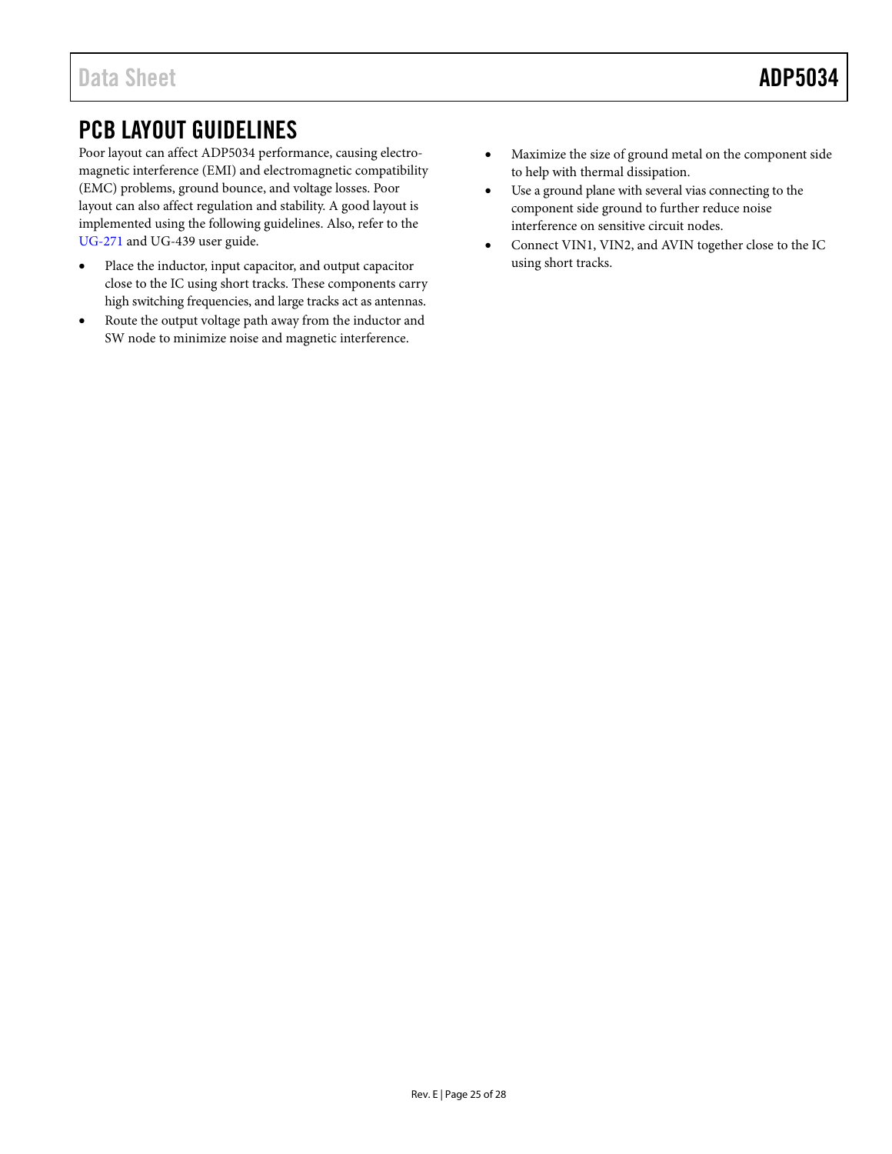# <span id="page-25-0"></span>PCB LAYOUT GUIDELINES

Poor layout can affect ADP5034 performance, causing electromagnetic interference (EMI) and electromagnetic compatibility (EMC) problems, ground bounce, and voltage losses. Poor layout can also affect regulation and stability. A good layout is implemented using the following guidelines. Also, refer to the [UG-271](http://www.analog.com/ug-271) and UG-439 user guide.

- Place the inductor, input capacitor, and output capacitor close to the IC using short tracks. These components carry high switching frequencies, and large tracks act as antennas.
- Route the output voltage path away from the inductor and SW node to minimize noise and magnetic interference.
- Maximize the size of ground metal on the component side to help with thermal dissipation.
- Use a ground plane with several vias connecting to the component side ground to further reduce noise interference on sensitive circuit nodes.
- Connect VIN1, VIN2, and AVIN together close to the IC using short tracks.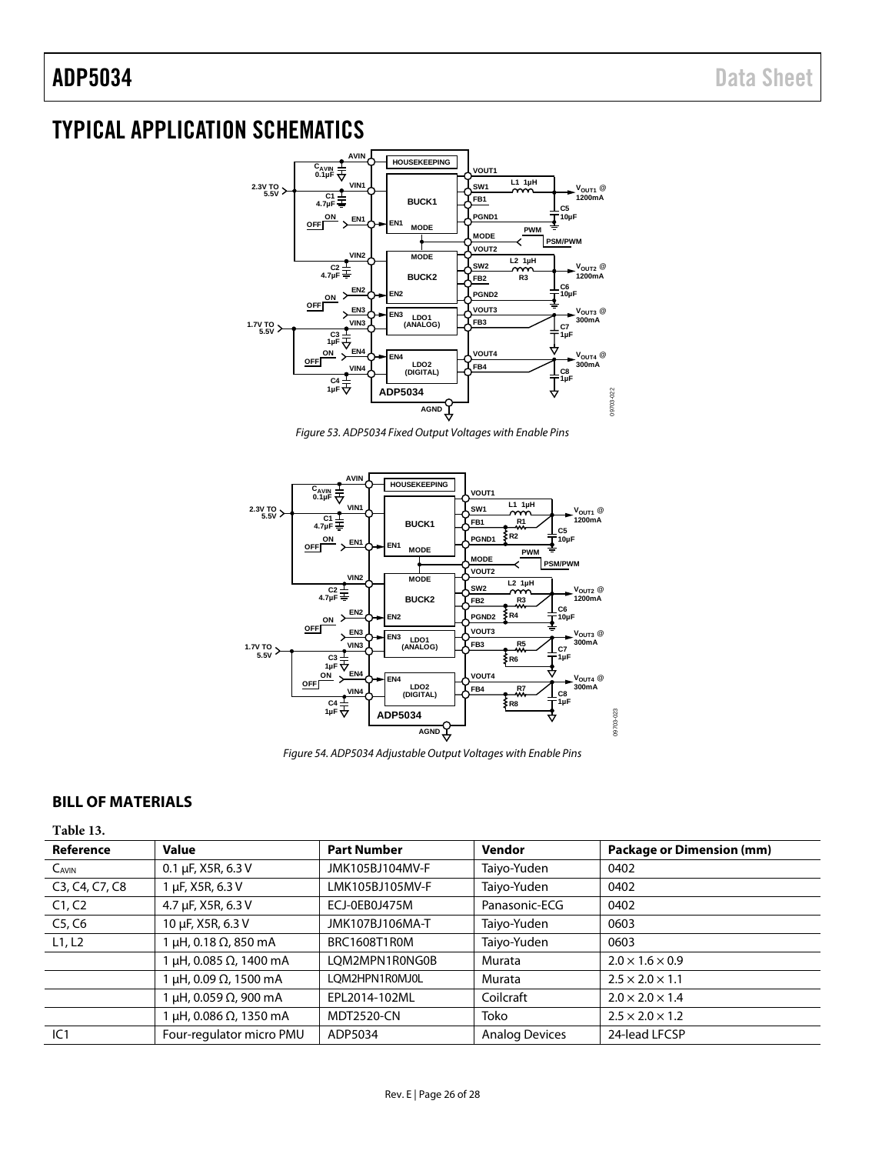# <span id="page-26-0"></span>TYPICAL APPLICATION SCHEMATICS



*Figure 53. ADP5034 Fixed Output Voltages with Enable Pins*



*Figure 54. ADP5034 Adjustable Output Voltages with Enable Pins*

## <span id="page-26-1"></span>**BILL OF MATERIALS**

**Table 13.** 

| Reference      | <b>Value</b>             | <b>Part Number</b> | <b>Vendor</b>         | <b>Package or Dimension (mm)</b> |
|----------------|--------------------------|--------------------|-----------------------|----------------------------------|
| $C_{AVIN}$     | $0.1 \mu F$ , X5R, 6.3 V | JMK105BJ104MV-F    | Taiyo-Yuden           | 0402                             |
| C3, C4, C7, C8 | µF, X5R, 6.3 V           | LMK105BJ105MV-F    | Taiyo-Yuden           | 0402                             |
| C1, C2         | 4.7 µF, X5R, 6.3 V       | ECJ-0EB0J475M      | Panasonic-ECG         | 0402                             |
| C5, C6         | 10 µF, X5R, 6.3 V        | JMK107BJ106MA-T    | Taiyo-Yuden           | 0603                             |
| L1, L2         | μH, 0.18 Ω, 850 mA       | BRC1608T1R0M       | Taiyo-Yuden           | 0603                             |
|                | μH, 0.085 Ω, 1400 mA     | LOM2MPN1R0NG0B     | Murata                | $2.0 \times 1.6 \times 0.9$      |
|                | μH, 0.09 Ω, 1500 mA      | LOM2HPN1R0MJ0L     | Murata                | $2.5 \times 2.0 \times 1.1$      |
|                | μH, 0.059 Ω, 900 mA      | EPL2014-102ML      | Coilcraft             | $2.0 \times 2.0 \times 1.4$      |
|                | μH, 0.086 Ω, 1350 mA     | <b>MDT2520-CN</b>  | Toko                  | $2.5 \times 2.0 \times 1.2$      |
| IC1            | Four-regulator micro PMU | ADP5034            | <b>Analog Devices</b> | 24-lead LFCSP                    |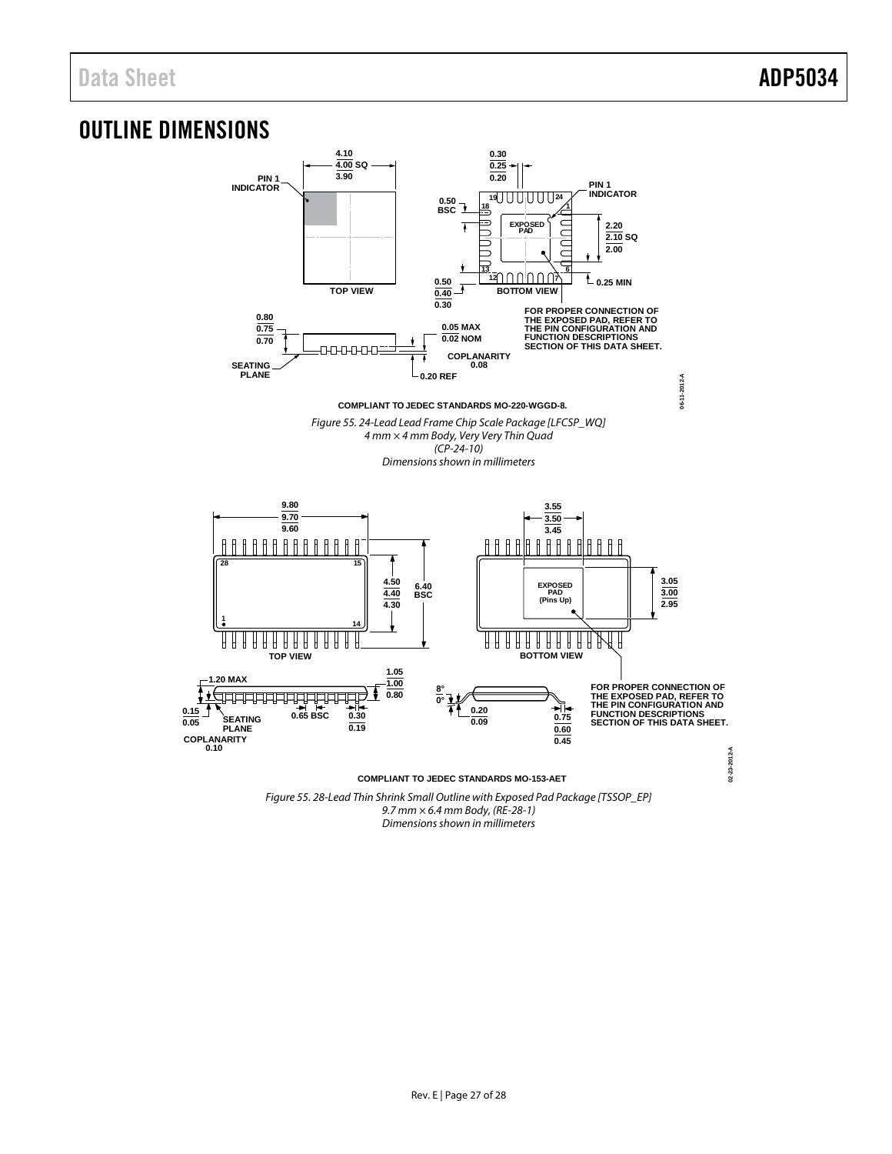# <span id="page-27-0"></span>OUTLINE DIMENSIONS



Figure 55. 28-Lead Thin Shrink Small Outline with Exposed Pad Package [TSSOP\_EP] 9.7 mm × 6.4 mm Body, (RE-28-1) Dimensions shown in millimeters